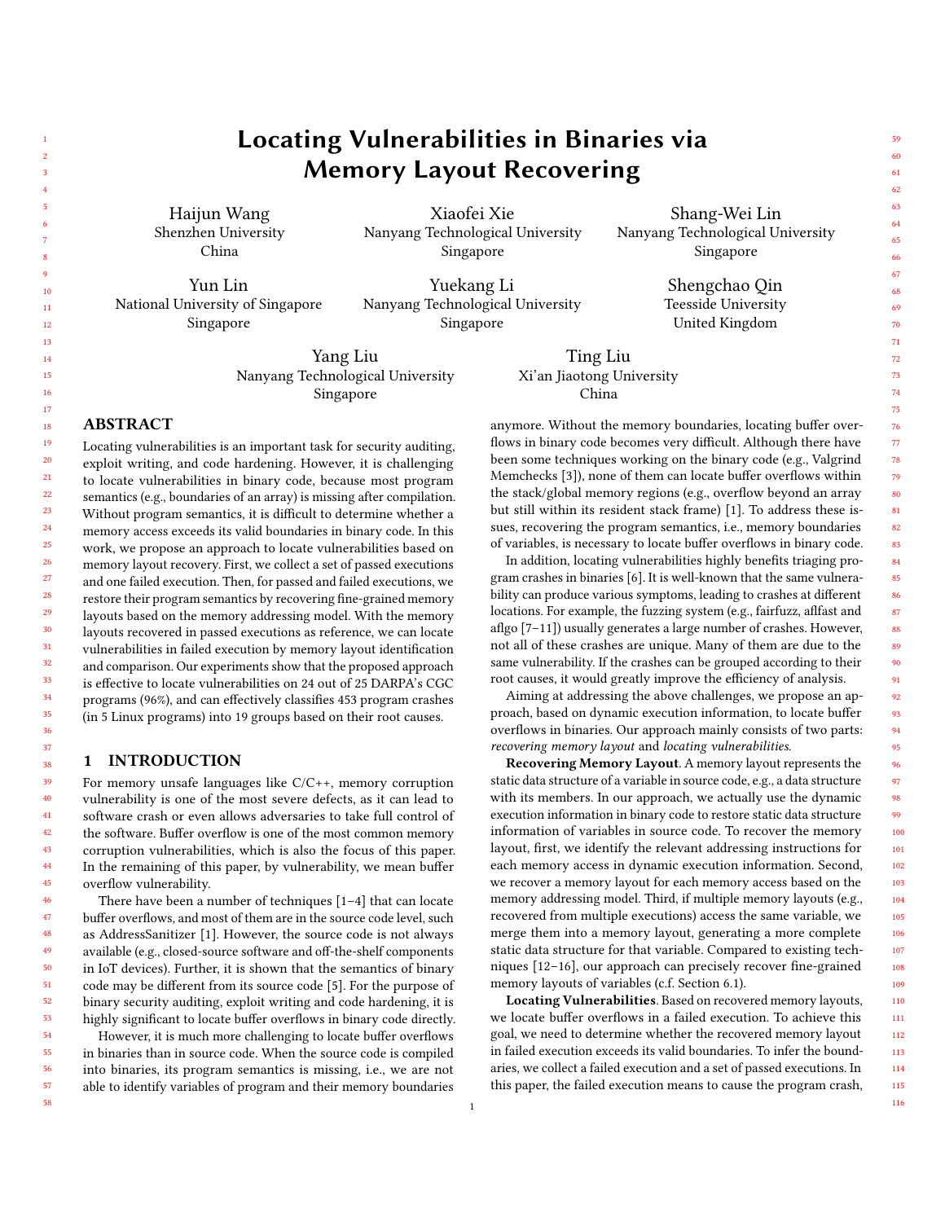# Xiaofei Xie Nanyang Technological University Singapore Yun Lin National University of Singapore Singapore Yuekang Li Nanyang Technological University Singapore Yang Liu Nanyang Technological University Singapore Ting Liu Xi'an Jiaotong University China Locating vulnerabilities is an important task for security auditing, exploit writing, and code hardening. However, it is challenging to locate vulnerabilities in binary code, because most program semantics (e.g., boundaries of an array) is missing after compilation. Without program semantics, it is difficult to determine whether a

memory access exceeds its valid boundaries in binary code. In this work, we propose an approach to locate vulnerabilities based on memory layout recovery. First, we collect a set of passed executions and one failed execution. Then, for passed and failed executions, we restore their program semantics by recovering fine-grained memory layouts based on the memory addressing model. With the memory layouts recovered in passed executions as reference, we can locate vulnerabilities in failed execution by memory layout identification and comparison. Our experiments show that the proposed approach is effective to locate vulnerabilities on 24 out of 25 DARPA's CGC programs (96%), and can effectively classifies 453 program crashes (in 5 Linux programs) into 19 groups based on their root causes.

## <span id="page-0-0"></span>1 INTRODUCTION

ABSTRACT

For memory unsafe languages like C/C++, memory corruption vulnerability is one of the most severe defects, as it can lead to software crash or even allows adversaries to take full control of the software. Buffer overflow is one of the most common memory corruption vulnerabilities, which is also the focus of this paper. In the remaining of this paper, by vulnerability, we mean buffer overflow vulnerability.

There have been a number of techniques [\[1–](#page-10-0)[4\]](#page-10-1) that can locate buffer overflows, and most of them are in the source code level, such as AddressSanitizer [\[1\]](#page-10-0). However, the source code is not always available (e.g., closed-source software and off-the-shelf components in IoT devices). Further, it is shown that the semantics of binary code may be different from its source code [\[5\]](#page-10-2). For the purpose of binary security auditing, exploit writing and code hardening, it is highly significant to locate buffer overflows in binary code directly.

However, it is much more challenging to locate buffer overflows in binaries than in source code. When the source code is compiled into binaries, its program semantics is missing, i.e., we are not able to identify variables of program and their memory boundaries

anymore. Without the memory boundaries, locating buffer overflows in binary code becomes very difficult. Although there have been some techniques working on the binary code (e.g., Valgrind Memchecks [\[3\]](#page-10-3)), none of them can locate buffer overflows within the stack/global memory regions (e.g., overflow beyond an array but still within its resident stack frame) [\[1\]](#page-10-0). To address these issues, recovering the program semantics, i.e., memory boundaries of variables, is necessary to locate buffer overflows in binary code.

In addition, locating vulnerabilities highly benefits triaging program crashes in binaries [\[6\]](#page-10-4). It is well-known that the same vulnerability can produce various symptoms, leading to crashes at different locations. For example, the fuzzing system (e.g., fairfuzz, aflfast and aflgo [\[7–](#page-10-5)[11\]](#page-10-6)) usually generates a large number of crashes. However, not all of these crashes are unique. Many of them are due to the same vulnerability. If the crashes can be grouped according to their root causes, it would greatly improve the efficiency of analysis.

Aiming at addressing the above challenges, we propose an approach, based on dynamic execution information, to locate buffer overflows in binaries. Our approach mainly consists of two parts: recovering memory layout and locating vulnerabilities.

Recovering Memory Layout. A memory layout represents the static data structure of a variable in source code, e.g., a data structure with its members. In our approach, we actually use the dynamic execution information in binary code to restore static data structure information of variables in source code. To recover the memory layout, first, we identify the relevant addressing instructions for each memory access in dynamic execution information. Second, we recover a memory layout for each memory access based on the memory addressing model. Third, if multiple memory layouts (e.g., recovered from multiple executions) access the same variable, we merge them into a memory layout, generating a more complete static data structure for that variable. Compared to existing techniques [\[12–](#page-10-7)[16\]](#page-10-8), our approach can precisely recover fine-grained memory layouts of variables (c.f. Section [6.1\)](#page-9-0).

Locating Vulnerabilities. Based on recovered memory layouts, we locate buffer overflows in a failed execution. To achieve this goal, we need to determine whether the recovered memory layout in failed execution exceeds its valid boundaries. To infer the boundaries, we collect a failed execution and a set of passed executions. In this paper, the failed execution means to cause the program crash,

Haijun Wang Shenzhen University China

Shang-Wei Lin Nanyang Technological University Singapore

> Shengchao Qin Teesside University United Kingdom

59 60 61

90 91 92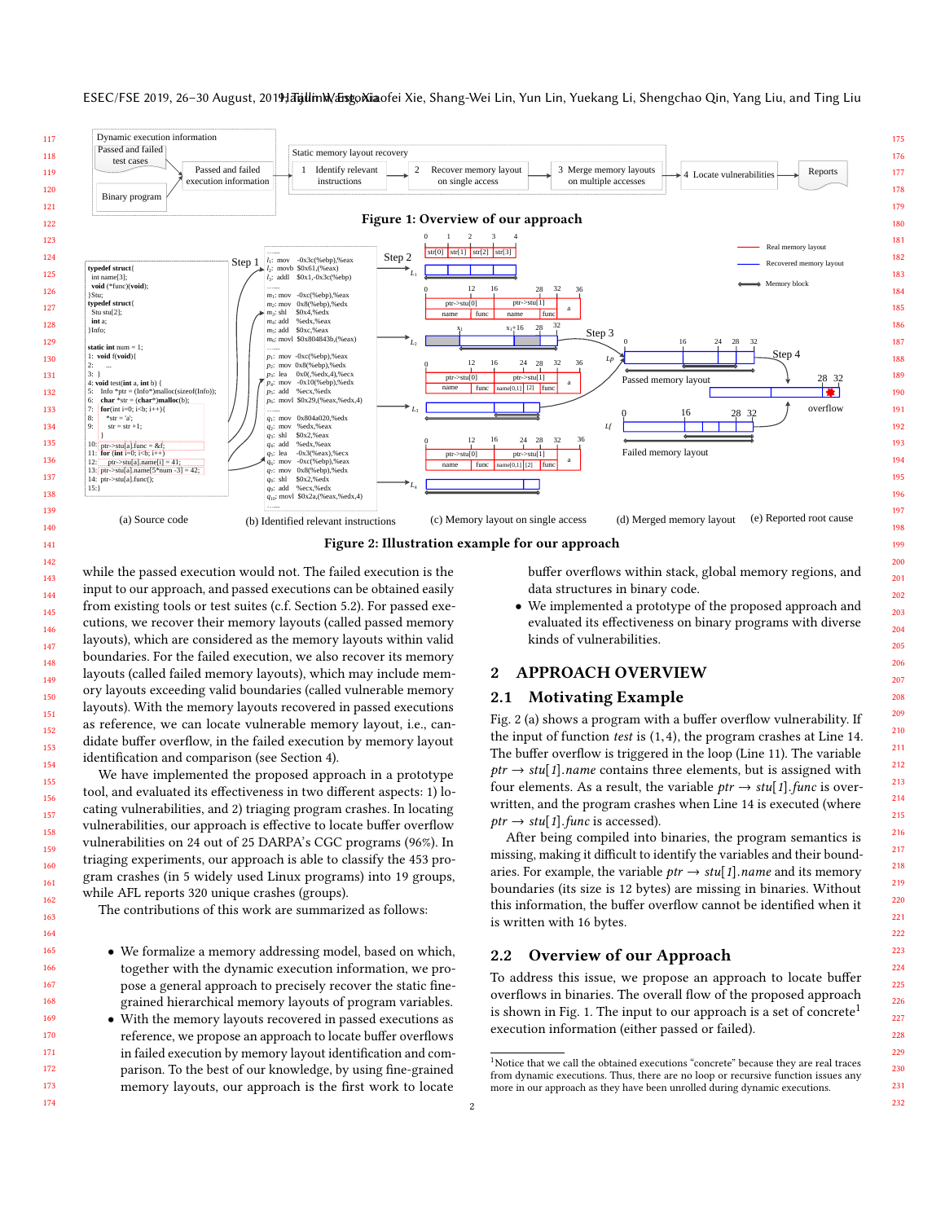#### ESEC/FSE 2019, 26-30 August, 2019; Talin M/ Eisgo Niaofei Xie, Shang-Wei Lin, Yun Lin, Yuekang Li, Shengchao Qin, Yang Liu, and Ting Liu

<span id="page-1-1"></span><span id="page-1-0"></span>

while the passed execution would not. The failed execution is the input to our approach, and passed executions can be obtained easily from existing tools or test suites (c.f. Section [5.2\)](#page-7-0). For passed executions, we recover their memory layouts (called passed memory layouts), which are considered as the memory layouts within valid boundaries. For the failed execution, we also recover its memory layouts (called failed memory layouts), which may include memory layouts exceeding valid boundaries (called vulnerable memory layouts). With the memory layouts recovered in passed executions as reference, we can locate vulnerable memory layout, i.e., candidate buffer overflow, in the failed execution by memory layout identification and comparison (see Section [4\)](#page-6-0).

We have implemented the proposed approach in a prototype tool, and evaluated its effectiveness in two different aspects: 1) locating vulnerabilities, and 2) triaging program crashes. In locating vulnerabilities, our approach is effective to locate buffer overflow vulnerabilities on 24 out of 25 DARPA's CGC programs (96%). In triaging experiments, our approach is able to classify the 453 program crashes (in 5 widely used Linux programs) into 19 groups, while AFL reports 320 unique crashes (groups).

The contributions of this work are summarized as follows:

- We formalize a memory addressing model, based on which, together with the dynamic execution information, we propose a general approach to precisely recover the static finegrained hierarchical memory layouts of program variables.
- With the memory layouts recovered in passed executions as reference, we propose an approach to locate buffer overflows in failed execution by memory layout identification and comparison. To the best of our knowledge, by using fine-grained memory layouts, our approach is the first work to locate

buffer overflows within stack, global memory regions, and data structures in binary code.

• We implemented a prototype of the proposed approach and evaluated its effectiveness on binary programs with diverse kinds of vulnerabilities.

## 2 APPROACH OVERVIEW

## 2.1 Motivating Example

Fig. [2](#page-1-0) (a) shows a program with a buffer overflow vulnerability. If the input of function test is (1,4), the program crashes at Line 14. The buffer overflow is triggered in the loop (Line 11). The variable  $ptr \rightarrow stu[1]$ .name contains three elements, but is assigned with four elements. As a result, the variable  $ptr \rightarrow stu[1]$ . func is overwritten, and the program crashes when Line 14 is executed (where  $ptr \rightarrow stu[1].func$  is accessed).

After being compiled into binaries, the program semantics is missing, making it difficult to identify the variables and their boundaries. For example, the variable  $ptr \rightarrow stu[1]$ . *name* and its memory boundaries (its size is 12 bytes) are missing in binaries. Without this information, the buffer overflow cannot be identified when it is written with 16 bytes.

# 2.2 Overview of our Approach

To address this issue, we propose an approach to locate buffer overflows in binaries. The overall flow of the proposed approach is shown in Fig. [1.](#page-1-1) The input to our approach is a set of concrete<sup>[1](#page-1-2)</sup> execution information (either passed or failed).

<span id="page-1-2"></span> $^1\!$  Notice that we call the obtained executions "concrete" because they are real traces from dynamic executions. Thus, there are no loop or recursive function issues any more in our approach as they have been unrolled during dynamic executions.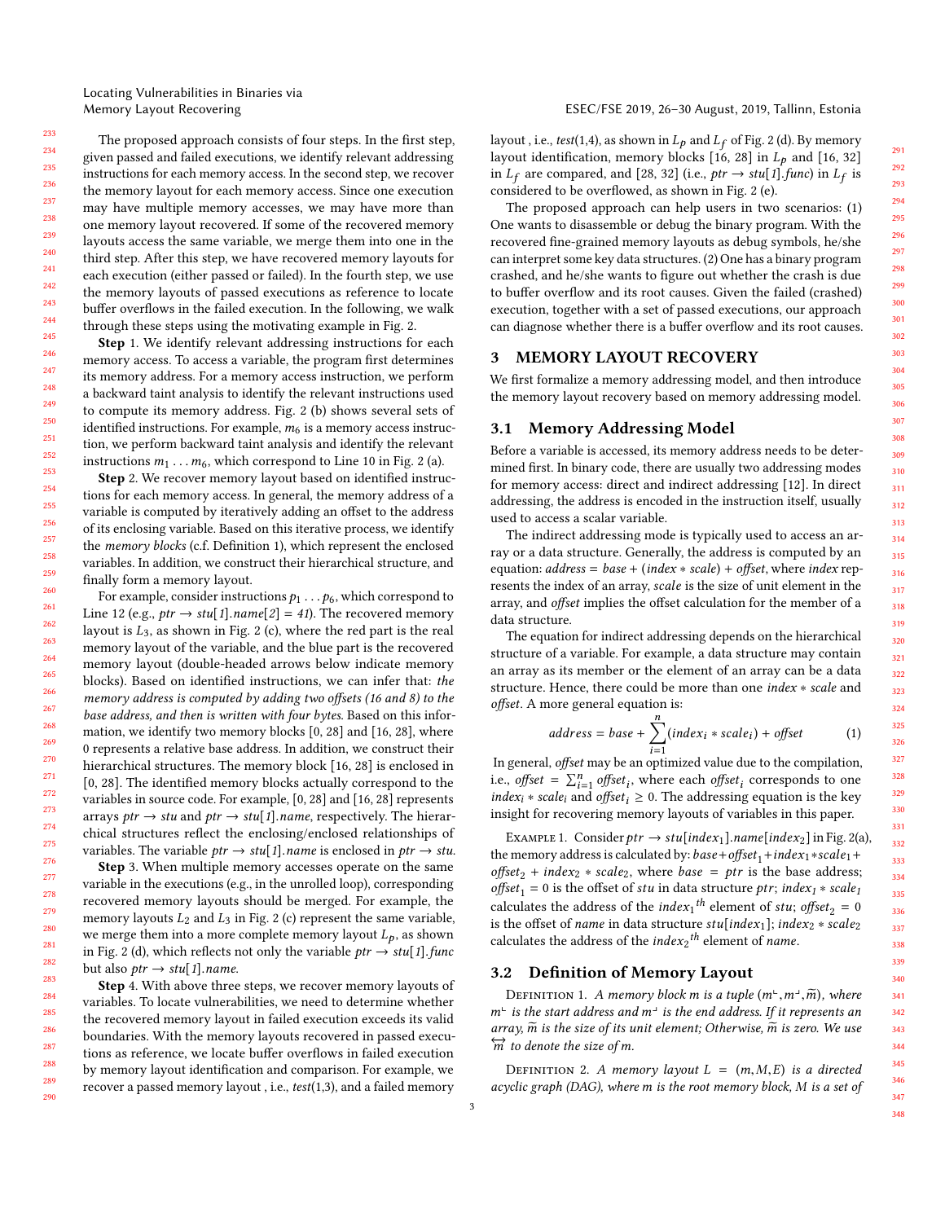The proposed approach consists of four steps. In the first step, given passed and failed executions, we identify relevant addressing instructions for each memory access. In the second step, we recover the memory layout for each memory access. Since one execution may have multiple memory accesses, we may have more than one memory layout recovered. If some of the recovered memory layouts access the same variable, we merge them into one in the third step. After this step, we have recovered memory layouts for each execution (either passed or failed). In the fourth step, we use the memory layouts of passed executions as reference to locate buffer overflows in the failed execution. In the following, we walk through these steps using the motivating example in Fig. [2.](#page-1-0)

Step 1. We identify relevant addressing instructions for each memory access. To access a variable, the program first determines its memory address. For a memory access instruction, we perform a backward taint analysis to identify the relevant instructions used to compute its memory address. Fig. [2](#page-1-0) (b) shows several sets of identified instructions. For example,  $m<sub>6</sub>$  is a memory access instruction, we perform backward taint analysis and identify the relevant instructions  $m_1 \ldots m_6$ , which correspond to Line 10 in Fig. [2](#page-1-0) (a).

Step 2. We recover memory layout based on identified instructions for each memory access. In general, the memory address of a variable is computed by iteratively adding an offset to the address of its enclosing variable. Based on this iterative process, we identify the memory blocks (c.f. Definition [1\)](#page-2-0), which represent the enclosed variables. In addition, we construct their hierarchical structure, and finally form a memory layout.

For example, consider instructions  $p_1 \ldots p_6$ , which correspond to Line 12 (e.g.,  $ptr \rightarrow stu[1].name[2] = 41).$  The recovered memory layout is  $L_3$ , as shown in Fig. [2](#page-1-0) (c), where the red part is the real memory layout of the variable, and the blue part is the recovered memory layout (double-headed arrows below indicate memory blocks). Based on identified instructions, we can infer that: the memory address is computed by adding two offsets (16 and 8) to the base address, and then is written with four bytes. Based on this information, we identify two memory blocks [0, 28] and [16, 28], where 0 represents a relative base address. In addition, we construct their hierarchical structures. The memory block [16, 28] is enclosed in [0, 28]. The identified memory blocks actually correspond to the variables in source code. For example, [0, 28] and [16, 28] represents arrays ptr  $\rightarrow$  stu and ptr  $\rightarrow$  stu[1].name, respectively. The hierarchical structures reflect the enclosing/enclosed relationships of variables. The variable  $ptr \rightarrow stu[1]$ . *name* is enclosed in  $ptr \rightarrow stu$ .

Step 3. When multiple memory accesses operate on the same variable in the executions (e.g., in the unrolled loop), corresponding recovered memory layouts should be merged. For example, the memory layouts  $L_2$  and  $L_3$  in Fig. [2](#page-1-0) (c) represent the same variable, we merge them into a more complete memory layout  $L_p$ , as shown in Fig. [2](#page-1-0) (d), which reflects not only the variable  $ptr \rightarrow stu[1].func$ but also  $ptr \rightarrow stu[1]$ . name.

Step 4. With above three steps, we recover memory layouts of variables. To locate vulnerabilities, we need to determine whether the recovered memory layout in failed execution exceeds its valid boundaries. With the memory layouts recovered in passed executions as reference, we locate buffer overflows in failed execution by memory layout identification and comparison. For example, we recover a passed memory layout , i.e., test(1,3), and a failed memory

layout , i.e.,  $test(1,4)$ , as shown in  $L_p$  and  $L_f$  of Fig. [2](#page-1-0) (d). By memory layout identification, memory blocks [16, 28] in  $L_p$  and [16, 32] in  $L_f$  are compared, and [28, 32] (i.e., *ptr* → *stu*[1].*func*) in  $L_f$  is considered to be overflowed, as shown in Fig. 2 (e) considered to be overflowed, as shown in Fig. [2](#page-1-0) (e).

The proposed approach can help users in two scenarios: (1) One wants to disassemble or debug the binary program. With the recovered fine-grained memory layouts as debug symbols, he/she can interpret some key data structures. (2) One has a binary program crashed, and he/she wants to figure out whether the crash is due to buffer overflow and its root causes. Given the failed (crashed) execution, together with a set of passed executions, our approach can diagnose whether there is a buffer overflow and its root causes.

#### 3 MEMORY LAYOUT RECOVERY

We first formalize a memory addressing model, and then introduce the memory layout recovery based on memory addressing model.

#### <span id="page-2-2"></span>3.1 Memory Addressing Model

Before a variable is accessed, its memory address needs to be determined first. In binary code, there are usually two addressing modes for memory access: direct and indirect addressing [\[12\]](#page-10-7). In direct addressing, the address is encoded in the instruction itself, usually used to access a scalar variable.

The indirect addressing mode is typically used to access an array or a data structure. Generally, the address is computed by an equation:  $address = base + (index * scale) + offset$ , where  $index$  represents the index of an array, scale is the size of unit element in the array, and offset implies the offset calculation for the member of a data structure.

The equation for indirect addressing depends on the hierarchical structure of a variable. For example, a data structure may contain an array as its member or the element of an array can be a data structure. Hence, there could be more than one index ∗ scale and offset. A more general equation is:

<span id="page-2-1"></span>
$$
address = base + \sum_{i=1}^{n} (index_i * scale_i) + offset \qquad (1)
$$

In general, offset may be an optimized value due to the compilation, i.e., offset =  $\sum_{i=1}^{n}$  offset<sub>i</sub>, where each offset<sub>i</sub> corresponds to one *index<sub>i</sub>* ∗ *scale<sub>i</sub>* and *offset*<sub>*i*</sub>  $\geq$  0. The addressing equation is the key insight for recovering memory layouts of variables in this paper.

EXAMPLE 1. Consider  $ptr \rightarrow stu[index_1].name[index_2]$  in Fig. [2\(](#page-1-0)a), the memory address is calculated by: base+offset<sub>1</sub>+index<sub>1</sub>∗scale<sub>1</sub>+ offset<sub>2</sub> + index<sub>2</sub> \* scale<sub>2</sub>, where base = ptr is the base address; offset<sub>1</sub> = 0 is the offset of stu in data structure ptr; index<sub>1</sub> ∗ scale<sub>1</sub> calculates the address of the *index*<sub>1</sub><sup>th</sup> element of stu; offset<sub>2</sub> = 0<br>is the offset of name in data structure stulindex, l; index,  $\star$  scales is the offset of name in data structure  $stu[index_1]$ ;  $index_2 * scale_2$ <br>colculates the address of the index-<sup>th</sup> element of name calculates the address of the *index*<sub>2</sub><sup>th</sup> element of *name*.

#### 3.2 Definition of Memory Layout

<span id="page-2-0"></span>DEFINITION 1. A memory block m is a tuple  $(m^{\perp}, m^{\perp}, \widetilde{m})$ , where  $m^{\perp}$  is the start address and  $m^{\perp}$  is the end address. If it represents an array  $\tilde{m}$  is the size of its unit element: Otherwise  $\tilde{m}$  is zero. We use array,  $\widetilde{m}$  is the size of its unit element; Otherwise,  $\widetilde{m}$  is zero. We use  $\overleftrightarrow{m}$  to denote the size of m.

DEFINITION 2. A memory layout  $L = (m, M, E)$  is a directed acyclic graph (DAG), where m is the root memory block, M is a set of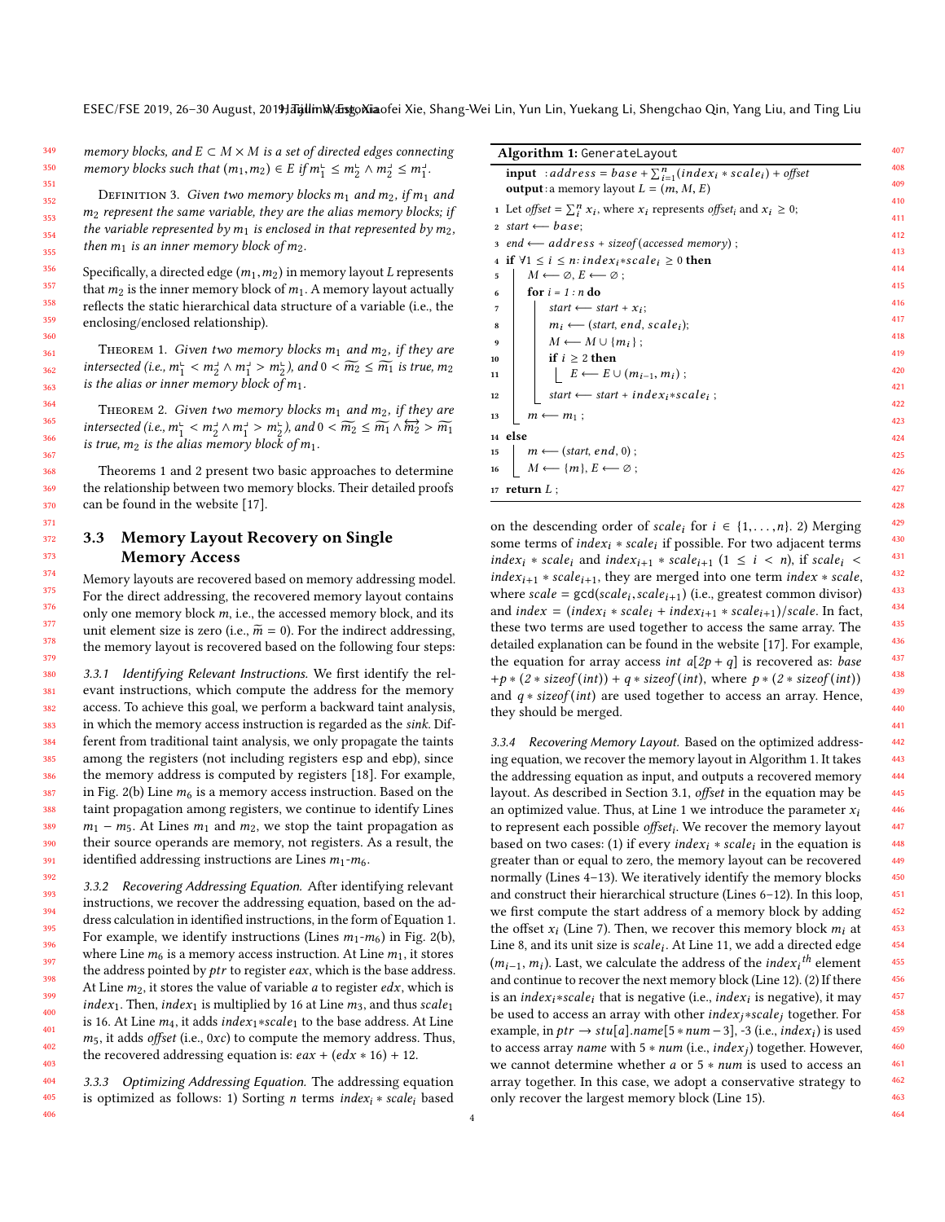memory blocks, and  $E \subset M \times M$  is a set of directed edges connecting memory blocks such that  $(m_1, m_2) \in E$  if  $m_1^{\mathsf{L}} \le m_2^{\mathsf{L}} \wedge m_2^{\mathsf{L}} \le m_1^{\mathsf{L}}$ .

DEFINITION 3. Given two memory blocks  $m_1$  and  $m_2$ , if  $m_1$  and  $m<sub>2</sub>$  represent the same variable, they are the alias memory blocks; if the variable represented by  $m_1$  is enclosed in that represented by  $m_2$ , then  $m_1$  is an inner memory block of  $m_2$ .

Specifically, a directed edge  $(m_1, m_2)$  in memory layout L represents that  $m_2$  is the inner memory block of  $m_1$ . A memory layout actually reflects the static hierarchical data structure of a variable (i.e., the enclosing/enclosed relationship).

<span id="page-3-0"></span>THEOREM 1. Given two memory blocks  $m_1$  and  $m_2$ , if they are intersected (i.e.,  $m_1^{\perp} < m_2^{\perp} \wedge m_1^{\perp} > m_2^{\perp}$ ), and  $0 < \widetilde{m_2} \le \widetilde{m_1}$  is true,  $m_2$ <br>is the alias or inner memory block of m. is the alias or inner memory block of  $m_1$ .

<span id="page-3-1"></span>THEOREM 2. Given two memory blocks  $m_1$  and  $m_2$ , if they are intersected (i.e.,  $m_1^1 < m_2^1 \wedge m_1^1 > m_2^1$ ), and  $0 < m_2 \le m_1 \wedge m_2^1 > m_1$ <br>is true  $m_2$  is the alias memory block of  $m_1$ . is true,  $m_2$  is the alias memory block of  $m_1$ .

Theorems [1](#page-3-0) and [2](#page-3-1) present two basic approaches to determine the relationship between two memory blocks. Their detailed proofs can be found in the website [\[17\]](#page-10-9).

## 3.3 Memory Layout Recovery on Single Memory Access

Memory layouts are recovered based on memory addressing model. For the direct addressing, the recovered memory layout contains only one memory block  $m$ , i.e., the accessed memory block, and its unit element size is zero (i.e.,  $\widetilde{m} = 0$ ). For the indirect addressing, the memory layout is recovered based on the following four steps:

3.3.1 Identifying Relevant Instructions. We first identify the relevant instructions, which compute the address for the memory access. To achieve this goal, we perform a backward taint analysis, in which the memory access instruction is regarded as the sink. Different from traditional taint analysis, we only propagate the taints among the registers (not including registers esp and ebp), since the memory address is computed by registers [\[18\]](#page-10-10). For example, in Fig. [2\(](#page-1-0)b) Line  $m_6$  is a memory access instruction. Based on the taint propagation among registers, we continue to identify Lines  $m_1 - m_5$ . At Lines  $m_1$  and  $m_2$ , we stop the taint propagation as their source operands are memory, not registers. As a result, the identified addressing instructions are Lines  $m_1-m_6$ .

3.3.2 Recovering Addressing Equation. After identifying relevant instructions, we recover the addressing equation, based on the address calculation in identified instructions, in the form of Equation [1.](#page-2-1) For example, we identify instructions (Lines  $m_1-m_6$ ) in Fig. [2\(](#page-1-0)b), where Line  $m_6$  is a memory access instruction. At Line  $m_1$ , it stores the address pointed by ptr to register eax, which is the base address. At Line  $m_2$ , it stores the value of variable *a* to register *edx*, which is *index*<sub>1</sub>. Then, *index*<sub>1</sub> is multiplied by 16 at Line  $m_3$ , and thus scale<sub>1</sub> is 16. At Line  $m_4$ , it adds index<sub>1</sub>∗scale<sub>1</sub> to the base address. At Line  $m_5$ , it adds *offset* (i.e.,  $0xc$ ) to compute the memory address. Thus, the recovered addressing equation is:  $eax + (edx * 16) + 12$ .

3.3.3 Optimizing Addressing Equation. The addressing equation is optimized as follows: 1) Sorting *n* terms *index<sub>i</sub>* ∗ *scale<sub>i</sub>* based

<span id="page-3-9"></span><span id="page-3-8"></span><span id="page-3-6"></span><span id="page-3-4"></span><span id="page-3-3"></span>

| <b>Algorithm 1: GenerateLayout</b>                                                                                               |  |
|----------------------------------------------------------------------------------------------------------------------------------|--|
| <b>input</b> : address = base + $\sum_{i=1}^{n} (index_i * scale_i)$ + offset<br><b>output</b> : a memory layout $L = (m, M, E)$ |  |
| 1 Let offset = $\sum_i^n x_i$ , where $x_i$ represents offset <sub>i</sub> and $x_i \geq 0$ ;                                    |  |
| 2 start $\leftarrow$ base;                                                                                                       |  |
| $: and \leftarrow address + sizeof(accessed memory);$                                                                            |  |
| 4 if $\forall 1 \leq i \leq n$ : index <sub>i</sub> *scale <sub>i</sub> $\geq 0$ then                                            |  |
| $M \leftarrow \emptyset, E \leftarrow \emptyset$ ;                                                                               |  |
| for $i = 1 : n$ do<br>6                                                                                                          |  |
| start $\longleftarrow$ start + $x_i$ ;                                                                                           |  |
| $m_i \leftarrow$ (start, end, scale <sub>i</sub> );                                                                              |  |
| $M \longleftarrow M \cup \{m_i\};$<br>9                                                                                          |  |
| if $i \geq 2$ then                                                                                                               |  |
| $\vert E \leftarrow E \cup (m_{i-1}, m_i);$<br>11                                                                                |  |
| start $\longleftarrow$ start + index <sub>i</sub> *scale <sub>i</sub> ;                                                          |  |
|                                                                                                                                  |  |
| $m \leftarrow m_1$ ;                                                                                                             |  |
| 14 else                                                                                                                          |  |
| $m \longleftarrow$ (start, end, 0);                                                                                              |  |
| $M \longleftarrow \{m\}, E \longleftarrow \emptyset;$<br>16                                                                      |  |
| 17 return $L$ ;                                                                                                                  |  |

<span id="page-3-11"></span><span id="page-3-10"></span><span id="page-3-7"></span><span id="page-3-5"></span><span id="page-3-2"></span>on the descending order of scale<sub>i</sub> for  $i \in \{1, \ldots, n\}$ . 2) Merging some terms of index<sub>i</sub> ∗ scale<sub>i</sub> if possible. For two adjacent terms index:  $\star$  scale:  $\sim$  the scale:  $\sim$  $index_i$  \* scale<sub>i</sub> and  $index_{i+1}$  \* scale<sub>i+1</sub> (1  $\leq i \leq n$ ), if scale<sub>i</sub> <  $index_{i+1} * scale_{i+1}$ , they are merged into one term index  $* scale$ , where  $scale = gcd(scale_{i+1})$  (i.e., greatest common divisor)<br>and index = (index : \* scale: + index : \* scale: \* ) (scale. In fact and index = (index<sub>i</sub> \* scale<sub>i</sub> + index<sub>i+1</sub> \* scale<sub>i+1</sub>)/scale. In fact, these two terms are used together to access the same array. The detailed explanation can be found in the website [\[17\]](#page-10-9). For example, the equation for array access int  $a[2p + q]$  is recovered as: base +p \* (2 \* sizeof(int)) + q \* sizeof(int), where  $p$  \* (2 \* sizeof(int)) and  $q * sizeof(int)$  are used together to access an array. Hence, they should be merged.

3.3.4 Recovering Memory Layout. Based on the optimized addressing equation, we recover the memory layout in Algorithm [1.](#page-3-2) It takes the addressing equation as input, and outputs a recovered memory layout. As described in Section [3.1,](#page-2-2) offset in the equation may be an optimized value. Thus, at Line [1](#page-3-3) we introduce the parameter  $x_i$ to represent each possible *offset<sub>i</sub>*. We recover the memory layout based on two cases: (1) if every *index<sub>i</sub>* ∗ *scale<sub>i</sub>* in the equation is greater than or equal to zero, the memory layout can be recovered normally (Lines [4](#page-3-4)[–13\)](#page-3-5). We iteratively identify the memory blocks and construct their hierarchical structure (Lines [6](#page-3-6)[–12\)](#page-3-7). In this loop, we first compute the start address of a memory block by adding the offset  $x_i$  (Line [7\)](#page-3-8). Then, we recover this memory block  $m_i$  at  $\overline{a}$  is the state of  $\overline{a}$  and its unit size is scale. At I ine 11, we add a directed edge Line [8,](#page-3-9) and its unit size is scale<sub>i</sub>. At Line [11,](#page-3-10) we add a directed edge<br>(m. . . m.). Let we coloulate the address of the *index* t<sup>h</sup> element  $(m_{i-1}, m_i)$ . Last, we calculate the address of the *index<sub>i</sub>*<sup>th</sup> element<br>and continue to recover the next memory block (Line 12) (2) If there and continue to recover the next memory block (Line [12\)](#page-3-7). (2) If there is an *index<sub>i</sub>*\*scale<sub>i</sub> that is negative (i.e., *index<sub>i</sub>* is negative), it may<br>be used to access an array with other *index* \*scale, together For be used to access an array with other  $index_i * scale_i$  together. For example, in  $ptr \rightarrow stu[a].name[5 * num - 3], -3$  (i.e.,  $index_i$ ) is used<br>to access array name with  $5 * num$  (i.e., index.) together However to access array name with  $5 * num$  (i.e.,  $index_j$ ) together. However,<br>we cannot determine whether a or  $5 * num$  is used to access an we cannot determine whether a or 5 <sup>∗</sup> num is used to access an array together. In this case, we adopt a conservative strategy to only recover the largest memory block (Line [15\)](#page-3-11).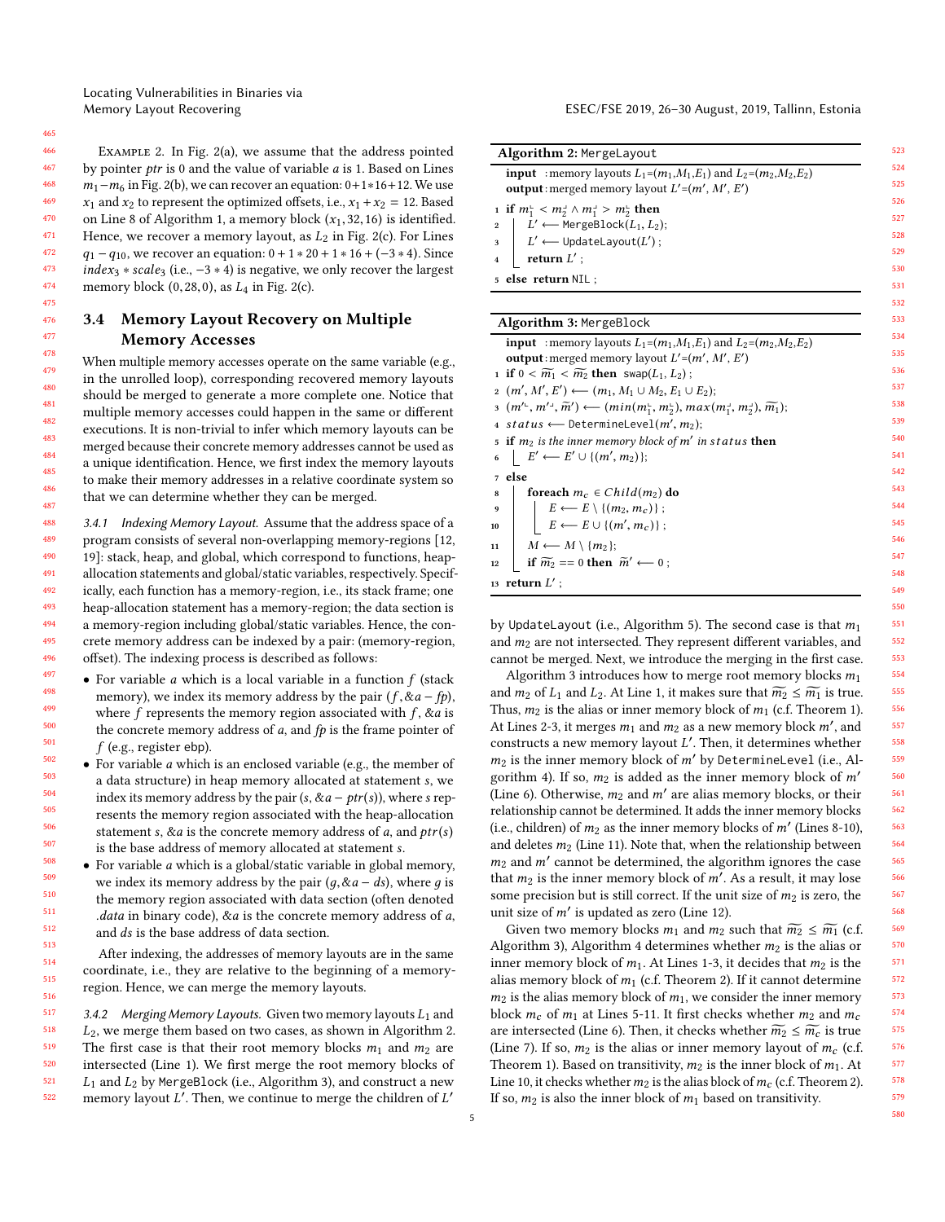Locating Vulnerabilities in Binaries via

Example 2. In Fig. [2\(](#page-1-0)a), we assume that the address pointed by pointer ptr is 0 and the value of variable a is 1. Based on Lines  $m_1-m_6$  in Fig. [2\(](#page-1-0)b), we can recover an equation:  $0+1*16+12$ . We use  $x_1$  and  $x_2$  to represent the optimized offsets, i.e.,  $x_1 + x_2 = 12$ . Based on Line [8](#page-3-9) of Algorithm [1,](#page-3-2) a memory block  $(x_1, 32, 16)$  is identified. Hence, we recover a memory layout, as  $L_2$  in Fig. [2\(](#page-1-0)c). For Lines  $q_1 - q_{10}$ , we recover an equation:  $0 + 1 * 20 + 1 * 16 + (-3 * 4)$ . Since  $index_3 * scale_3$  (i.e.,  $-3 * 4$ ) is negative, we only recover the largest memory block  $(0, 28, 0)$ , as  $L_4$  in Fig. [2\(](#page-1-0)c).

## 3.4 Memory Layout Recovery on Multiple Memory Accesses

When multiple memory accesses operate on the same variable (e.g., in the unrolled loop), corresponding recovered memory layouts should be merged to generate a more complete one. Notice that multiple memory accesses could happen in the same or different executions. It is non-trivial to infer which memory layouts can be merged because their concrete memory addresses cannot be used as a unique identification. Hence, we first index the memory layouts to make their memory addresses in a relative coordinate system so that we can determine whether they can be merged.

<span id="page-4-11"></span>488 489 490 491 492 493 494 495 496 3.4.1 Indexing Memory Layout. Assume that the address space of a program consists of several non-overlapping memory-regions [\[12,](#page-10-7) [19\]](#page-10-11): stack, heap, and global, which correspond to functions, heapallocation statements and global/static variables, respectively. Specifically, each function has a memory-region, i.e., its stack frame; one heap-allocation statement has a memory-region; the data section is a memory-region including global/static variables. Hence, the concrete memory address can be indexed by a pair: (memory-region, offset). The indexing process is described as follows:

497 501 • For variable  $a$  which is a local variable in a function  $f$  (stack memory), we index its memory address by the pair  $(f, \&a - fp)$ , where  $f$  represents the memory region associated with  $f$ ,  $\&a$  is the concrete memory address of  $a$ , and  $fp$  is the frame pointer of  $f$  (e.g., register ebp).

• For variable <sup>a</sup> which is an enclosed variable (e.g., the member of a data structure) in heap memory allocated at statement s, we index its memory address by the pair  $(s, \& a - ptr(s))$ , where s represents the memory region associated with the heap-allocation statement s,  $\&a$  is the concrete memory address of a, and  $ptr(s)$ is the base address of memory allocated at statement s.

• For variable a which is a global/static variable in global memory, we index its memory address by the pair  $(q, \& a - ds)$ , where g is the memory region associated with data section (often denoted .data in binary code),  $\&a$  is the concrete memory address of  $a$ , and ds is the base address of data section.

After indexing, the addresses of memory layouts are in the same coordinate, i.e., they are relative to the beginning of a memoryregion. Hence, we can merge the memory layouts.

517 518 519 520 521 522 3.4.2 Merging Memory Layouts. Given two memory layouts  $L_1$  and  $L_2$ , we merge them based on two cases, as shown in Algorithm [2.](#page-4-0) The first case is that their root memory blocks  $m_1$  and  $m_2$  are intersected (Line [1\)](#page-4-1). We first merge the root memory blocks of  $L_1$  and  $L_2$  by MergeBlock (i.e., Algorithm [3\)](#page-4-2), and construct a new memory layout  $L'$ . Then, we continue to merge the children of  $L'$ 

Memory Layout Recovering ESEC/FSE 2019, 26–30 August, 2019, Tallinn, Estonia

<span id="page-4-1"></span>

| <b>Algorithm 2: MergeLayout</b>                                                                                                     |  |
|-------------------------------------------------------------------------------------------------------------------------------------|--|
| <b>input</b> : memory layouts $L_1=(m_1,M_1,E_1)$ and $L_2=(m_2,M_2,E_2)$<br><b>output</b> : merged memory layout $L'=(m', M', E')$ |  |
| 1 if $m_1^{\perp} < m_2^{\perp} \wedge m_1^{\perp} > m_2^{\perp}$ then                                                              |  |
| $\vert L' \leftarrow$ MergeBlock $(L_1, L_2)$ ;<br>$\overline{2}$                                                                   |  |
| $1 : L' \longleftarrow$ UpdateLayout(L');                                                                                           |  |
| return $L'$ ;                                                                                                                       |  |
| 5 else return NIL ;                                                                                                                 |  |
|                                                                                                                                     |  |
| Algorithm 3: MergeBlock                                                                                                             |  |
| <b>input</b> : memory layouts $L_1 = (m_1, M_1, E_1)$ and $L_2 = (m_2, M_2, E_2)$                                                   |  |
|                                                                                                                                     |  |

<span id="page-4-7"></span><span id="page-4-6"></span><span id="page-4-5"></span><span id="page-4-4"></span><span id="page-4-3"></span><span id="page-4-0"></span>

|    | <b>Input</b> : memory layouts $L_1 = (m_1, m_1, E_1)$ and $L_2 = (m_2, m_2, E_2)$                                                                                                |
|----|----------------------------------------------------------------------------------------------------------------------------------------------------------------------------------|
|    | <b>output</b> : merged memory layout $L'=(m', M', E')$                                                                                                                           |
|    | 1 if $0 < \widetilde{m_1} < \widetilde{m_2}$ then swap $(L_1, L_2)$ ;                                                                                                            |
|    | $_2(m', M', E') \longleftarrow (m_1, M_1 \cup M_2, E_1 \cup E_2);$                                                                                                               |
|    | $\tilde{m}$ (m' <sup>L</sup> , m' <sup>1</sup> , $\tilde{m}'$ ) $\longleftarrow$ (min(m <sup>L</sup> , m <sup>L</sup> ), max(m <sup>1</sup> , m <sup>1</sup> ), $\tilde{m}_1$ ); |
|    | 4 status $\leftarrow$ DetermineLevel(m', m <sub>2</sub> );                                                                                                                       |
|    | 5 if $m_2$ is the inner memory block of m' in status then                                                                                                                        |
|    | 6 $E' \leftarrow E' \cup \{(m', m_2)\};$                                                                                                                                         |
|    | 7 else                                                                                                                                                                           |
| 8  | foreach $m_c \in Child(m_2)$ do                                                                                                                                                  |
|    | 9<br>$\begin{array}{c c} 9 \ \hline 10 \ \end{array}$ $\begin{array}{c} E \leftarrow E \setminus \{(m_2, m_c)\}; \\ E \leftarrow E \cup \{(m', m_c)\}; \end{array}$              |
|    |                                                                                                                                                                                  |
|    | 11   $M \leftarrow M \setminus \{m_2\};$                                                                                                                                         |
| 12 | <b>if</b> $\widetilde{m_2} == 0$ then $\widetilde{m}' \leftarrow 0$ ;                                                                                                            |
|    | 13 $return L':$                                                                                                                                                                  |

<span id="page-4-10"></span><span id="page-4-9"></span><span id="page-4-8"></span><span id="page-4-2"></span>by UpdateLayout (i.e., Algorithm [5\)](#page-5-0). The second case is that  $m_1$ and  $m_2$  are not intersected. They represent different variables, and cannot be merged. Next, we introduce the merging in the first case.

Algorithm [3](#page-4-2) introduces how to merge root memory blocks  $m_1$ and  $m_2$  of  $L_1$  and  $L_2$ . At Line [1,](#page-4-3) it makes sure that  $\widetilde{m_2} \le \widetilde{m_1}$  is true. Thus,  $m_2$  is the alias or inner memory block of  $m_1$  (c.f. Theorem [1\)](#page-3-0). At Lines [2](#page-4-4)[-3,](#page-4-5) it merges  $m_1$  and  $m_2$  as a new memory block  $m'$ , and constructs a new memory layout  $I'$ . Then it determines whether constructs a new memory layout  $L'$ . Then, it determines whether  $m_0$  is the inner memory block of  $m'$  by Determinel aval (i.e., Al.  $m_2$  is the inner memory block of  $m'$  by DetermineLevel (i.e., Al-gorithm [4\)](#page-5-1). If so,  $m_2$  is added as the inner memory block of  $m'$ (Line [6\)](#page-4-6). Otherwise,  $m_2$  and  $m'$  are alias memory blocks, or their relationship cannot be determined. It adds the inner memory blocks relationship cannot be determined. It adds the inner memory blocks (i.e., children) of  $m_2$  as the inner memory blocks of  $m'$  (Lines [8](#page-4-7)[-10\)](#page-4-8), and deletes  $m_2$  (Lines 11). Note that when the relationship between and deletes  $m_2$  (Line [11\)](#page-4-9). Note that, when the relationship between  $m_2$  and m' cannot be determined, the algorithm ignores the case<br>that me is the inner memory block of m'. As a result, it may lose that  $m_2$  is the inner memory block of  $m'$ . As a result, it may lose some precision but is still correct. If the unit size of  $m_2$  is zero, the some precision but is still correct. If the unit size of  $m_2$  is zero, the unit size of  $m'$  is updated as zero (Line [12\)](#page-4-10).

Given two memory blocks  $m_1$  and  $m_2$  such that  $\widetilde{m_2} \le \widetilde{m_1}$  (c.f. Algorithm [3\)](#page-4-2), Algorithm [4](#page-5-1) determines whether  $m_2$  is the alias or inner memory block of  $m_1$ . At Lines [1-](#page-5-2)[3,](#page-5-3) it decides that  $m_2$  is the alias memory block of  $m_1$  (c.f. Theorem [2\)](#page-3-1). If it cannot determine  $m_2$  is the alias memory block of  $m_1$ , we consider the inner memory block  $m_c$  of  $m_1$  at Lines [5](#page-5-4)[-11.](#page-5-5) It first checks whether  $m_2$  and  $m_c$ are intersected (Line [6\)](#page-5-6). Then, it checks whether  $\widetilde{m_2} \leq \widetilde{m_c}$  is true (Line [7\)](#page-5-7). If so,  $m_2$  is the alias or inner memory layout of  $m_c$  (c.f. Theorem [1\)](#page-3-0). Based on transitivity,  $m_2$  is the inner block of  $m_1$ . At Line [10,](#page-5-8) it checks whether  $m_2$  is the alias block of  $m_c$  (c.f. Theorem [2\)](#page-3-1). If so,  $m_2$  is also the inner block of  $m_1$  based on transitivity.

465 466 467

498 499 500

> 502 503

> 504 505 506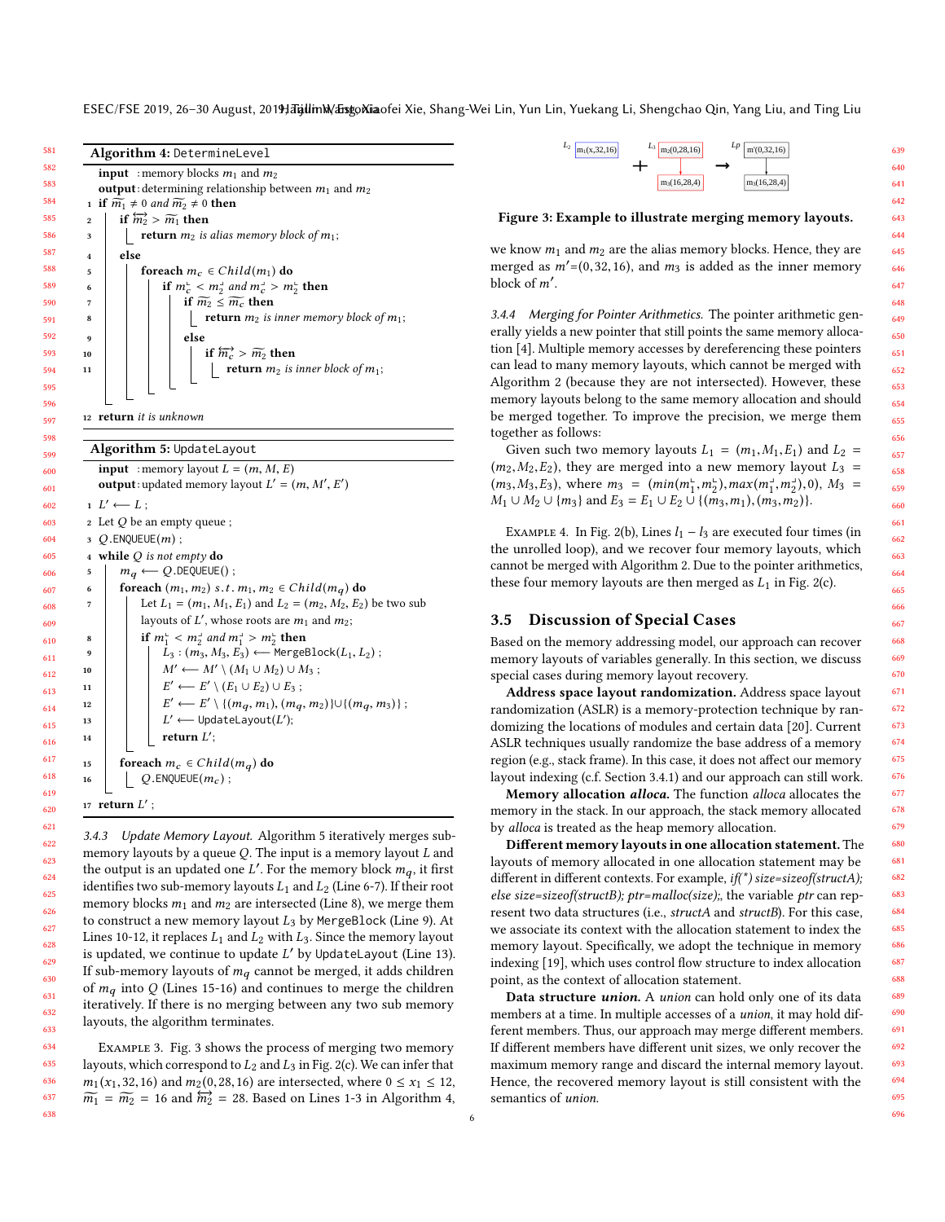<span id="page-5-8"></span><span id="page-5-7"></span><span id="page-5-6"></span><span id="page-5-4"></span><span id="page-5-3"></span><span id="page-5-2"></span>ESEC/FSE 2019, 26-30 August, 2019; Talin M/ Eisgo Niaofei Xie, Shang-Wei Lin, Yun Lin, Yuekang Li, Shengchao Qin, Yang Liu, and Ting Liu



<span id="page-5-17"></span><span id="page-5-16"></span><span id="page-5-15"></span><span id="page-5-14"></span><span id="page-5-13"></span><span id="page-5-12"></span><span id="page-5-11"></span><span id="page-5-10"></span><span id="page-5-9"></span><span id="page-5-0"></span>3.4.3 Update Memory Layout. Algorithm [5](#page-5-0) iteratively merges submemory layouts by a queue  $Q$ . The input is a memory layout  $L$  and the output is an updated one L'. For the memory block  $m_q$ , it first<br>identifies two sub-memory layouts Le and Le (Line 6-7). If their root identifies two sub-memory layouts  $L_1$  and  $L_2$  (Line [6-](#page-5-9)[7\)](#page-5-10). If their root memory blocks  $m_1$  and  $m_2$  are intersected (Line [8\)](#page-5-11), we merge them to construct a new memory layout  $L_3$  by MergeBlock (Line [9\)](#page-5-12). At Lines [10](#page-5-13)[-12,](#page-5-14) it replaces  $L_1$  and  $L_2$  with  $L_3$ . Since the memory layout is updated, we continue to update  $L'$  by UpdateLayout (Line [13\)](#page-5-15). If sub-memory layouts of  $m_q$  cannot be merged, it adds children of  $m_q$  into Q (Lines [15](#page-5-16)[-16\)](#page-5-17) and continues to merge the children iteratively. If there is no merging between any two sub memory layouts, the algorithm terminates.

Example 3. Fig. [3](#page-5-18) shows the process of merging two memory layouts, which correspond to  $L_2$  and  $L_3$  in Fig. [2\(](#page-1-0)c). We can infer that  $m_1(x_1,32,16)$  and  $m_2(0,28,16)$  are intersected, where  $0 \le x_1 \le 12$ ,  $\widetilde{m_1}$  =  $\widetilde{m_2}$  = [1](#page-5-2)6 and  $\widetilde{m_2}$  = 28. Based on Lines 1[-3](#page-5-3) in Algorithm [4,](#page-5-1)

<span id="page-5-18"></span>

Figure 3: Example to illustrate merging memory layouts.

we know  $m_1$  and  $m_2$  are the alias memory blocks. Hence, they are merged as  $m' = (0, 32, 16)$ , and  $m_3$  is added as the inner memory block of  $m'$ .

<span id="page-5-5"></span>3.4.4 Merging for Pointer Arithmetics. The pointer arithmetic generally yields a new pointer that still points the same memory allocation [\[4\]](#page-10-1). Multiple memory accesses by dereferencing these pointers can lead to many memory layouts, which cannot be merged with Algorithm [2](#page-4-0) (because they are not intersected). However, these memory layouts belong to the same memory allocation and should be merged together. To improve the precision, we merge them together as follows:

<span id="page-5-1"></span>Given such two memory layouts  $L_1 = (m_1, M_1, E_1)$  and  $L_2 =$  $(m_2, M_2, E_2)$ , they are merged into a new memory layout  $L_3$  =  $(m_3, M_3, E_3)$ , where  $m_3 = (min(m_1^L, m_2^L), max(m_1^L, m_2^L), 0), M_3 =$ <br> $M_1 + M_2 + \{m_3\}$  and  $E_2 = E_1 + E_2 + \{f(m_2, m_1), (m_2, m_2)\}$  $M_1 \cup M_2 \cup \{m_3\}$  and  $E_3 = E_1 \cup E_2 \cup \{(m_3, m_1), (m_3, m_2)\}.$ 

EXAMPLE 4. In Fig. [2\(](#page-1-0)b), Lines  $l_1 - l_3$  are executed four times (in the unrolled loop), and we recover four memory layouts, which cannot be merged with Algorithm [2.](#page-4-0) Due to the pointer arithmetics, these four memory layouts are then merged as  $L_1$  in Fig. [2\(](#page-1-0)c).

## 3.5 Discussion of Special Cases

Based on the memory addressing model, our approach can recover memory layouts of variables generally. In this section, we discuss special cases during memory layout recovery.

Address space layout randomization. Address space layout randomization (ASLR) is a memory-protection technique by randomizing the locations of modules and certain data [\[20\]](#page-10-12). Current ASLR techniques usually randomize the base address of a memory region (e.g., stack frame). In this case, it does not affect our memory layout indexing (c.f. Section [3.4.1\)](#page-4-11) and our approach can still work.

Memory allocation *alloca*. The function *alloca* allocates the memory in the stack. In our approach, the stack memory allocated by alloca is treated as the heap memory allocation.

Different memory layouts in one allocation statement. The layouts of memory allocated in one allocation statement may be different in different contexts. For example,  $if('')$  size=sizeof(structA); else size=sizeof(structB); ptr=malloc(size);, the variable ptr can represent two data structures (i.e., structA and structB). For this case, we associate its context with the allocation statement to index the memory layout. Specifically, we adopt the technique in memory indexing [\[19\]](#page-10-11), which uses control flow structure to index allocation point, as the context of allocation statement.

Data structure *union*. A *union* can hold only one of its data members at a time. In multiple accesses of a union, it may hold different members. Thus, our approach may merge different members. If different members have different unit sizes, we only recover the maximum memory range and discard the internal memory layout. Hence, the recovered memory layout is still consistent with the semantics of union.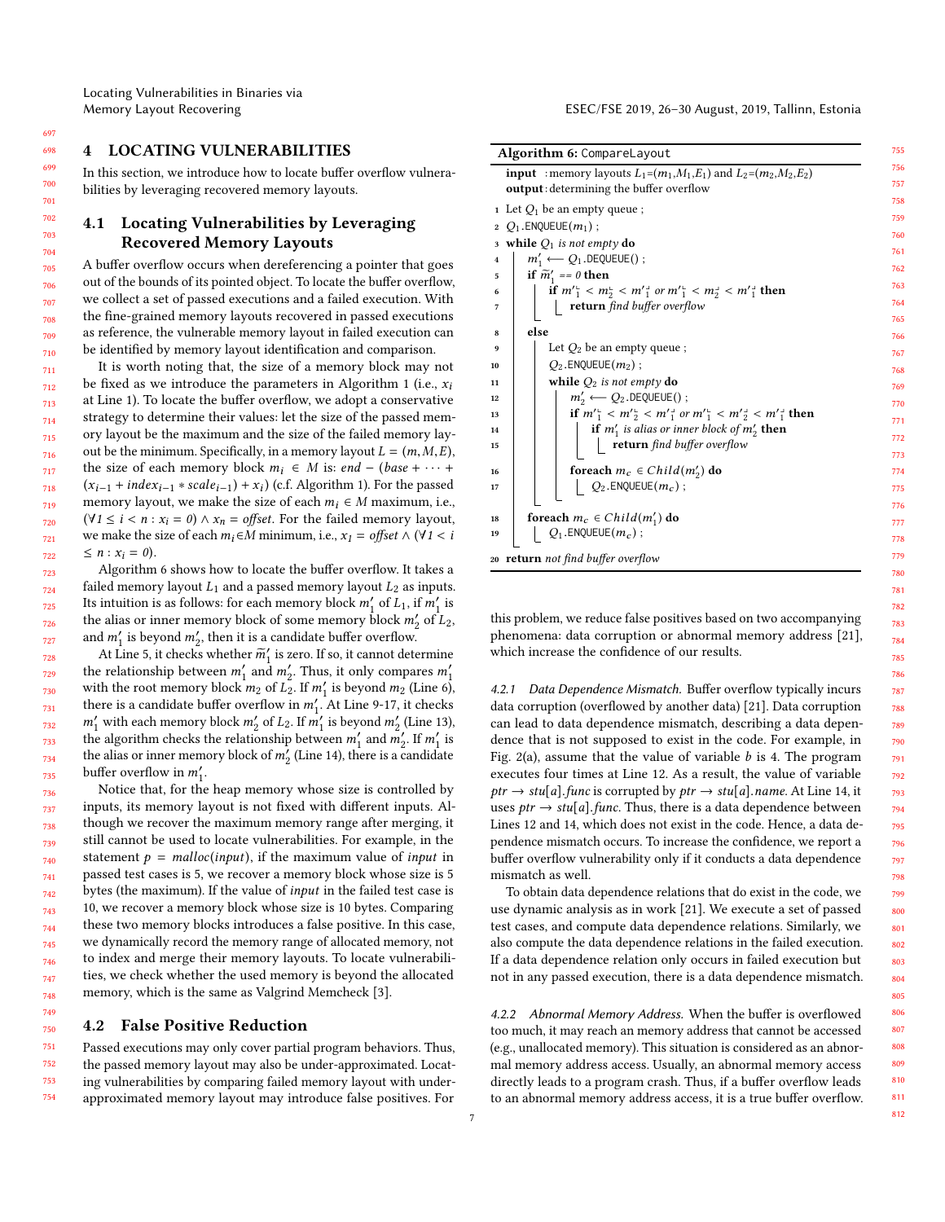<span id="page-6-0"></span>In this section, we introduce how to locate buffer overflow vulnerabilities by leveraging recovered memory layouts.

## 4.1 Locating Vulnerabilities by Leveraging Recovered Memory Layouts

A buffer overflow occurs when dereferencing a pointer that goes out of the bounds of its pointed object. To locate the buffer overflow, we collect a set of passed executions and a failed execution. With the fine-grained memory layouts recovered in passed executions as reference, the vulnerable memory layout in failed execution can be identified by memory layout identification and comparison.

It is worth noting that, the size of a memory block may not be fixed as we introduce the parameters in Algorithm [1](#page-3-2) (i.e.,  $x_i$ ) at Line [1\)](#page-3-3). To locate the buffer overflow, we adopt a conservative strategy to determine their values: let the size of the passed memory layout be the maximum and the size of the failed memory layout be the minimum. Specifically, in a memory layout  $L = (m, M, E)$ , the size of each memory block  $m_i$  ∈ M is: end – (base +  $\cdots$  +  $(x_{i-1} + index_{i-1} * scale_{i-1}) + x_i)$  (c.f. Algorithm [1\)](#page-3-2). For the passed<br>memory layout, we make the size of each  $m_i \in M$  maximum i.e. memory layout, we make the size of each  $m_i \in M$  maximum, i.e.,  $(\forall 1 \leq i < n : x_i = 0) \land x_n = \text{offset}$ . For the failed memory layout, we make the size of each  $m_i \in M$  minimum, i.e.,  $x_1 =$  offset  $\wedge$  ( $\forall$ 1 < i  $\leq n : x_i = 0$ .

Algorithm [6](#page-6-1) shows how to locate the buffer overflow. It takes a failed memory layout  $L_1$  and a passed memory layout  $L_2$  as inputs. Its intuition is as follows: for each memory block  $m'_1$  of  $L_1$ , if  $m'_1$  is<br>the alias or inner memory block of some memory block  $m'$  of  $L_2$ the alias or inner memory block of some memory block  $m'_2$  of  $L_2$ ,<br>and m' is beyond m', then it is a candidate buffer overflow. and  $m'_1$  is beyond  $m'_2$ , then it is a candidate buffer overflow.<br>At I ine 5, it checks whether  $\overline{m}'$  is zero. If so, it cannot determined

 At Line [5,](#page-6-2) it checks whether  $\widetilde{m}_1$  is zero. If so, it cannot determine the relationship between  $m'_1$  and  $m'_2$ . Thus, it only compares  $m'_1$ <br>with the root memory block  $m_2$  of  $L_2$ . If  $m'$  is beyond  $m_2$  (I ine 6) with the root memory block  $m_2$  of  $L_2$ . If  $m'_1$  is beyond  $m_2$  (Line [6\)](#page-6-3),<br>there is a condidate buffer overflow in  $m'_1$  4.1 line 9-17, it checks there is a candidate buffer overflow in  $m'_1$ . At Line [9-](#page-6-4)[17,](#page-6-5) it checks  $m'_1$  with each memory block  $m'_1$  of  $I_2$ . If  $m'_1$  is beyond  $m'_1$  (Line 13)  $m'_1$  with each memory block  $m'_2$  of  $L_2$ . If  $m'_1$  is beyond  $m'_2$  (Line [13\)](#page-6-6),<br>the algorithm checks the relationship between  $m'_1$  and  $m'_1$  If  $m'_1$  is the algorithm checks the relationship between  $m'_1$  and  $m'_2$ . If  $m'_1$  is<br>the alias or inner memory block of m' (Line 14) there is a candidate the alias or inner memory block of  $m'_2$  (Line [14\)](#page-6-7), there is a candidate<br>buffer overflow in m' buffer overflow in  $m'_1$ .<br>Notice that, for the

Notice that, for the heap memory whose size is controlled by inputs, its memory layout is not fixed with different inputs. Although we recover the maximum memory range after merging, it still cannot be used to locate vulnerabilities. For example, in the statement  $p = malloc(input),$  if the maximum value of *input* in passed test cases is 5, we recover a memory block whose size is 5 bytes (the maximum). If the value of input in the failed test case is 10, we recover a memory block whose size is 10 bytes. Comparing these two memory blocks introduces a false positive. In this case, we dynamically record the memory range of allocated memory, not to index and merge their memory layouts. To locate vulnerabilities, we check whether the used memory is beyond the allocated memory, which is the same as Valgrind Memcheck [\[3\]](#page-10-3).

### 4.2 False Positive Reduction

 Passed executions may only cover partial program behaviors. Thus, the passed memory layout may also be under-approximated. Locating vulnerabilities by comparing failed memory layout with underapproximated memory layout may introduce false positives. For

<span id="page-6-4"></span><span id="page-6-3"></span><span id="page-6-2"></span>

| Algorithm 6: CompareLayout                                                                                |  |
|-----------------------------------------------------------------------------------------------------------|--|
| <b>input</b> : memory layouts $L_1 = (m_1, M_1, E_1)$ and $L_2 = (m_2, M_2, E_2)$                         |  |
| <b>output</b> : determining the buffer overflow                                                           |  |
| 1 Let $Q_1$ be an empty queue;                                                                            |  |
| 2 $Q_1$ . ENQUEUE $(m_1)$ ;                                                                               |  |
| 3 while $Q_1$ is not empty do                                                                             |  |
| $m'_1 \longleftarrow Q_1$ . DEQUEUE();<br>$\overline{\bf 4}$                                              |  |
| if $\widetilde{m}'_1 = 0$ then<br>5                                                                       |  |
| if $m_1^{\prime} < m_2^{\prime} < m_1^{\prime}$ or $m_1^{\prime} < m_2^{\prime} < m_2^{\prime}$ then<br>6 |  |
| return find buffer overflow<br>7                                                                          |  |
| else                                                                                                      |  |
| 8                                                                                                         |  |
| Let $Q_2$ be an empty queue;<br>9                                                                         |  |
| $Q_2$ . ENQUEUE $(m_2)$ ;<br>10                                                                           |  |
| while $Q_2$ is not empty do<br>11                                                                         |  |
| $m'_2 \longleftarrow Q_2$ . DEQUEUE();<br>12                                                              |  |
| if $m'_1 < m'_2 < m'_1$ or $m'_1 < m'_2 < m'_1$ then<br>13                                                |  |
| if $m'_1$ is alias or inner block of $m'_2$ then<br>14<br>15                                              |  |
| $\bf return$ $\it find$ $\it buffer$ $\it overflow$                                                       |  |
| foreach $m_c \in Child(m'_2)$ do<br>16                                                                    |  |
| $Q_2$ . ENQUEUE $(m_c)$ ;<br>17                                                                           |  |
|                                                                                                           |  |
| foreach $m_c \in Child(m'_1)$ do<br>18                                                                    |  |
| $Q_1$ . ENQUEUE $(m_c)$ ;<br>19                                                                           |  |
| 20 <b>return</b> not find buffer overflow                                                                 |  |
|                                                                                                           |  |

<span id="page-6-7"></span><span id="page-6-6"></span><span id="page-6-5"></span><span id="page-6-1"></span>this problem, we reduce false positives based on two accompanying phenomena: data corruption or abnormal memory address [\[21\]](#page-10-13), which increase the confidence of our results.

4.2.1 Data Dependence Mismatch. Buffer overflow typically incurs data corruption (overflowed by another data) [\[21\]](#page-10-13). Data corruption can lead to data dependence mismatch, describing a data dependence that is not supposed to exist in the code. For example, in Fig. [2\(](#page-1-0)a), assume that the value of variable  $b$  is 4. The program executes four times at Line 12. As a result, the value of variable  $ptr \rightarrow stu[a]$ . func is corrupted by  $ptr \rightarrow stu[a]$ . name. At Line 14, it uses  $ptr \rightarrow stu[a]$ . func. Thus, there is a data dependence between Lines 12 and 14, which does not exist in the code. Hence, a data dependence mismatch occurs. To increase the confidence, we report a buffer overflow vulnerability only if it conducts a data dependence mismatch as well.

To obtain data dependence relations that do exist in the code, we use dynamic analysis as in work [\[21\]](#page-10-13). We execute a set of passed test cases, and compute data dependence relations. Similarly, we also compute the data dependence relations in the failed execution. If a data dependence relation only occurs in failed execution but not in any passed execution, there is a data dependence mismatch.

4.2.2 Abnormal Memory Address. When the buffer is overflowed too much, it may reach an memory address that cannot be accessed (e.g., unallocated memory). This situation is considered as an abnormal memory address access. Usually, an abnormal memory access directly leads to a program crash. Thus, if a buffer overflow leads to an abnormal memory address access, it is a true buffer overflow.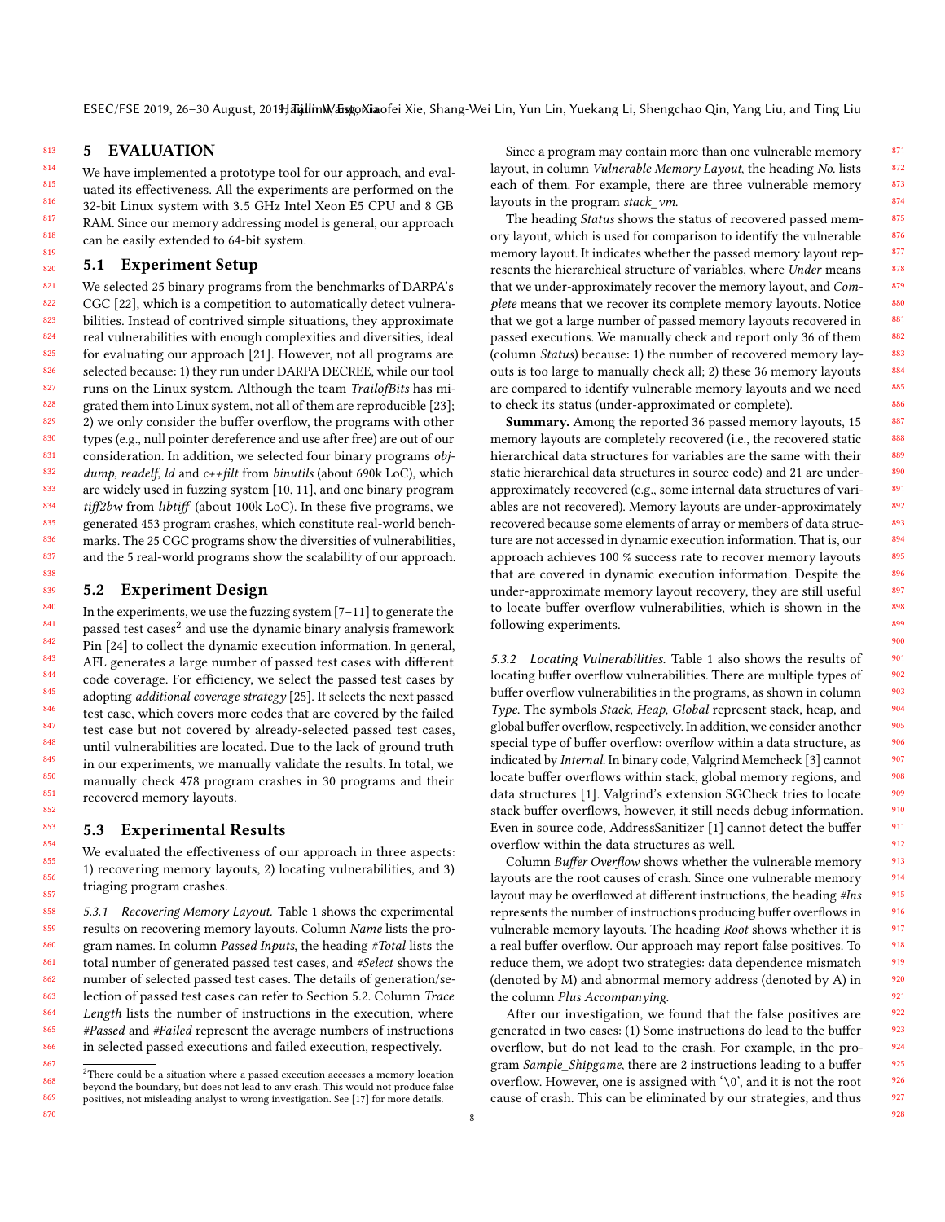927 928

## 5 EVALUATION

813

867

814 815 816 817 818 819 We have implemented a prototype tool for our approach, and evaluated its effectiveness. All the experiments are performed on the 32-bit Linux system with 3.5 GHz Intel Xeon E5 CPU and 8 GB RAM. Since our memory addressing model is general, our approach can be easily extended to 64-bit system.

#### 820 5.1 Experiment Setup

821 822 823 824 825 826 827 828 829 830 831 832 833 834 835 836 837 838 We selected 25 binary programs from the benchmarks of DARPA's CGC [\[22\]](#page-10-14), which is a competition to automatically detect vulnerabilities. Instead of contrived simple situations, they approximate real vulnerabilities with enough complexities and diversities, ideal for evaluating our approach [\[21\]](#page-10-13). However, not all programs are selected because: 1) they run under DARPA DECREE, while our tool runs on the Linux system. Although the team TrailofBits has migrated them into Linux system, not all of them are reproducible [\[23\]](#page-10-15); 2) we only consider the buffer overflow, the programs with other types (e.g., null pointer dereference and use after free) are out of our consideration. In addition, we selected four binary programs objdump, readelf, ld and c++filt from binutils (about 690k LoC), which are widely used in fuzzing system [\[10,](#page-10-16) [11\]](#page-10-6), and one binary program tiff2bw from libtiff (about 100k LoC). In these five programs, we generated 453 program crashes, which constitute real-world benchmarks. The 25 CGC programs show the diversities of vulnerabilities, and the 5 real-world programs show the scalability of our approach.

#### <span id="page-7-0"></span>5.2 Experiment Design

In the experiments, we use the fuzzing system [\[7–](#page-10-5)[11\]](#page-10-6) to generate the passed test cases $^2$  $^2$  and use the dynamic binary analysis framework Pin [\[24\]](#page-10-17) to collect the dynamic execution information. In general, AFL generates a large number of passed test cases with different code coverage. For efficiency, we select the passed test cases by adopting additional coverage strategy [\[25\]](#page-10-18). It selects the next passed test case, which covers more codes that are covered by the failed test case but not covered by already-selected passed test cases, until vulnerabilities are located. Due to the lack of ground truth in our experiments, we manually validate the results. In total, we manually check 478 program crashes in 30 programs and their recovered memory layouts.

#### 5.3 Experimental Results

We evaluated the effectiveness of our approach in three aspects: 1) recovering memory layouts, 2) locating vulnerabilities, and 3) triaging program crashes.

858 859 860 861 862 863 864 865 866 5.3.1 Recovering Memory Layout. Table [1](#page-8-0) shows the experimental results on recovering memory layouts. Column Name lists the program names. In column Passed Inputs, the heading #Total lists the total number of generated passed test cases, and #Select shows the number of selected passed test cases. The details of generation/selection of passed test cases can refer to Section [5.2.](#page-7-0) Column Trace Length lists the number of instructions in the execution, where #Passed and #Failed represent the average numbers of instructions in selected passed executions and failed execution, respectively.

Since a program may contain more than one vulnerable memory layout, in column Vulnerable Memory Layout, the heading No. lists each of them. For example, there are three vulnerable memory layouts in the program stack\_vm.

The heading Status shows the status of recovered passed memory layout, which is used for comparison to identify the vulnerable memory layout. It indicates whether the passed memory layout represents the hierarchical structure of variables, where Under means that we under-approximately recover the memory layout, and Complete means that we recover its complete memory layouts. Notice that we got a large number of passed memory layouts recovered in passed executions. We manually check and report only 36 of them (column Status) because: 1) the number of recovered memory layouts is too large to manually check all; 2) these 36 memory layouts are compared to identify vulnerable memory layouts and we need to check its status (under-approximated or complete).

Summary. Among the reported 36 passed memory layouts, 15 memory layouts are completely recovered (i.e., the recovered static hierarchical data structures for variables are the same with their static hierarchical data structures in source code) and 21 are underapproximately recovered (e.g., some internal data structures of variables are not recovered). Memory layouts are under-approximately recovered because some elements of array or members of data structure are not accessed in dynamic execution information. That is, our approach achieves 100 % success rate to recover memory layouts that are covered in dynamic execution information. Despite the under-approximate memory layout recovery, they are still useful to locate buffer overflow vulnerabilities, which is shown in the following experiments.

5.3.2 Locating Vulnerabilities. Table [1](#page-8-0) also shows the results of locating buffer overflow vulnerabilities. There are multiple types of buffer overflow vulnerabilities in the programs, as shown in column Type. The symbols Stack, Heap, Global represent stack, heap, and global buffer overflow, respectively. In addition, we consider another special type of buffer overflow: overflow within a data structure, as indicated by Internal. In binary code, Valgrind Memcheck [\[3\]](#page-10-3) cannot locate buffer overflows within stack, global memory regions, and data structures [\[1\]](#page-10-0). Valgrind's extension SGCheck tries to locate stack buffer overflows, however, it still needs debug information. Even in source code, AddressSanitizer [\[1\]](#page-10-0) cannot detect the buffer overflow within the data structures as well.

Column Buffer Overflow shows whether the vulnerable memory layouts are the root causes of crash. Since one vulnerable memory layout may be overflowed at different instructions, the heading #Ins represents the number of instructions producing buffer overflows in vulnerable memory layouts. The heading Root shows whether it is a real buffer overflow. Our approach may report false positives. To reduce them, we adopt two strategies: data dependence mismatch (denoted by M) and abnormal memory address (denoted by A) in the column Plus Accompanying.

After our investigation, we found that the false positives are generated in two cases: (1) Some instructions do lead to the buffer overflow, but do not lead to the crash. For example, in the program Sample\_Shipgame, there are 2 instructions leading to a buffer overflow. However, one is assigned with '\0', and it is not the root cause of crash. This can be eliminated by our strategies, and thus

<span id="page-7-1"></span><sup>868</sup> 869 870  $^{2}$  There could be a situation where a passed execution accesses a memory location beyond the boundary, but does not lead to any crash. This would not produce false positives, not misleading analyst to wrong investigation. See [\[17\]](#page-10-9) for more details.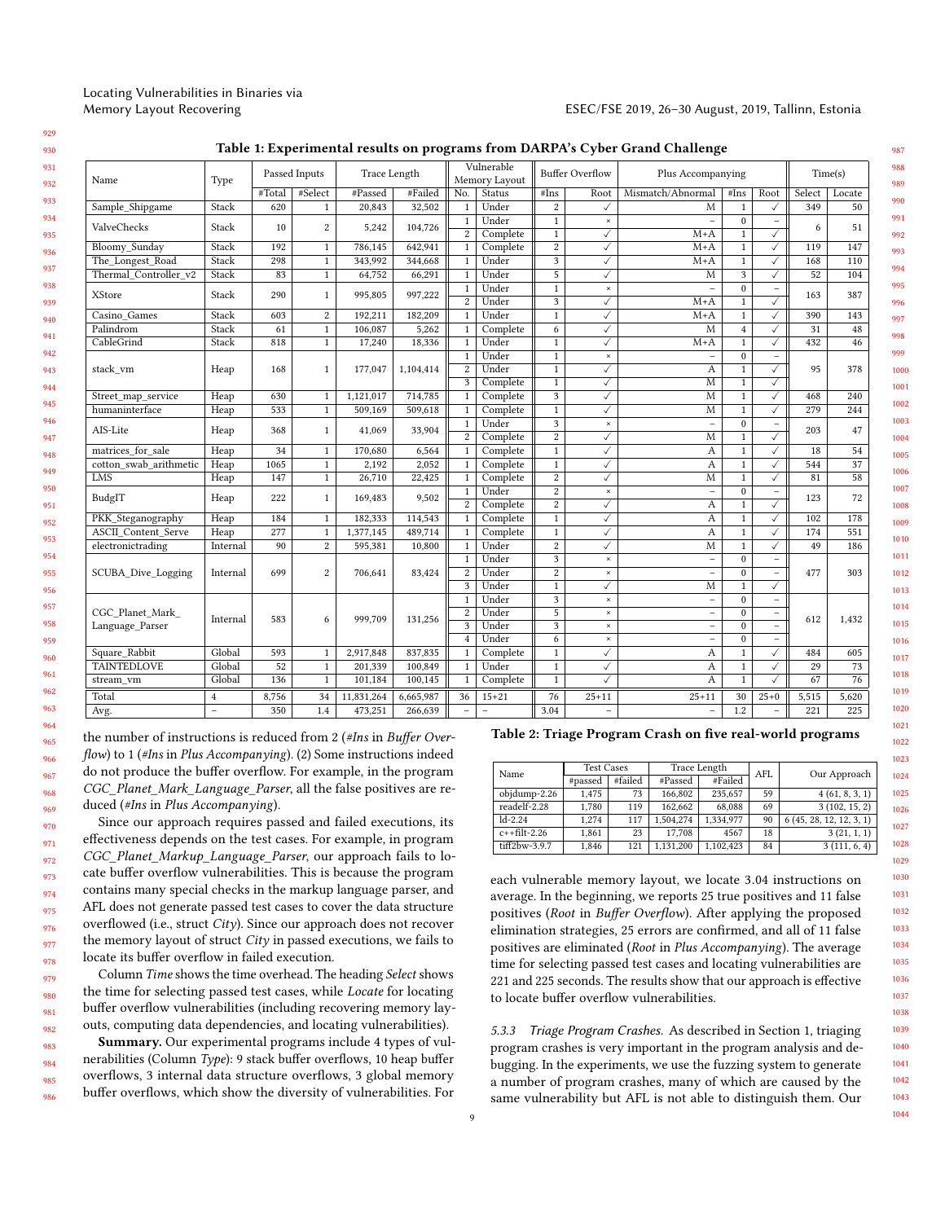| Table 1: Experimental results on programs from DARPA's Cyber Grand Challenge |  |  |
|------------------------------------------------------------------------------|--|--|
|------------------------------------------------------------------------------|--|--|

<span id="page-8-0"></span>

| Name<br>Type               |                          | Passed Inputs |                         | Trace Length |           | Vulnerable<br>Memory Layout    |                   | <b>Buffer Overflow</b>         |                                        | Plus Accompanying         |                              |                                   |                          | Time(s) |  |
|----------------------------|--------------------------|---------------|-------------------------|--------------|-----------|--------------------------------|-------------------|--------------------------------|----------------------------------------|---------------------------|------------------------------|-----------------------------------|--------------------------|---------|--|
|                            |                          | #Total        | #Select                 | #Passed      | #Failed   | No.                            | Status            | #Ins                           | Root                                   | Mismatch/Abnormal<br>#Ins |                              | Root                              | Select                   | Locate  |  |
| Sample Shipgame            | Stack                    | 620           | $\mathbf{1}$            | 20,843       | 32,502    | $\mathbf{1}$                   | Under             | $\overline{\mathbf{2}}$        | $\checkmark$                           | M                         | $\mathbf{1}$                 | $\checkmark$                      | 349                      | 50      |  |
| ValveChecks                | Stack                    | 10            | $\boldsymbol{2}$        | 5,242        | 104,726   | $\mathbf{1}$<br>$\overline{2}$ | Under<br>Complete | $\mathbf{1}$<br>$\overline{1}$ | $\boldsymbol{\times}$<br>$\checkmark$  | $M+A$                     | $\mathbf{0}$<br>$\mathbf{1}$ | $\qquad \qquad -$<br>$\checkmark$ | 6                        | 51      |  |
| <b>Bloomy Sunday</b>       | Stack                    | 192           | $\mathbf{1}$            | 786,145      | 642,941   | $\mathbf{1}$                   | Complete          | $\overline{c}$                 | $\checkmark$                           | $M+A$                     | $\mathbf{1}$                 | ✓                                 | 119                      | 147     |  |
| The Longest Road           | Stack                    | 298           | $\mathbf{1}$            | 343,992      | 344,668   | $\mathbf{1}$                   | Under             | 3                              | $\checkmark$                           | $M+A$                     | $\mathbf{1}$                 | ✓                                 | 168                      | 110     |  |
| Thermal Controller v2      | Stack                    | 83            | $\mathbf{1}$            | 64,752       | 66,291    | $1\,$                          | Under             | 5                              | $\checkmark$                           | М                         | 3                            | ✓                                 | 52                       | 104     |  |
| <b>XStore</b>              | Stack                    | 290           | $\mathbf{1}$            | 995,805      | 997,222   | $\mathbf{1}$<br>$\overline{2}$ | Under<br>Under    | $\mathbf{1}$<br>$\overline{3}$ | $\boldsymbol{\mathsf{x}}$<br>$\sqrt{}$ | $M+A$                     | $\mathbf{0}$<br>$\mathbf{1}$ | $\overline{\phantom{a}}$<br>Ī     | 163                      | 387     |  |
| Casino Games               | Stack                    | 603           | 2                       | 192,211      | 182,209   | $\mathbf{1}$                   | Under             | $\mathbf{1}$                   | $\checkmark$                           | $M+A$                     | $\mathbf{1}$                 | ✓                                 | 390                      | 143     |  |
| Palindrom                  | Stack                    | 61            | $\mathbf{1}$            | 106,087      | 5,262     | $\mathbf{1}$                   | Complete          | 6                              | $\checkmark$                           | M                         | $\overline{4}$               |                                   | 31                       | 48      |  |
| CableGrind                 | Stack                    | 818           | $\mathbf{1}$            | 17,240       | 18,336    | $\overline{1}$                 | Under             | $\mathbf{1}$                   | $\checkmark$                           | $M+A$                     | $\mathbf{1}$                 | $\checkmark$                      | 432                      | 46      |  |
|                            |                          |               |                         |              |           | $\mathbf{1}$                   | Under             | $\mathbf{1}$                   | $\pmb{\times}$                         | $\overline{\phantom{0}}$  | $\mathbf{0}$                 | $\overline{\phantom{0}}$          |                          |         |  |
| stack vm                   | Heap                     | 168           | $\mathbf{1}$            | 177,047      | 1,104,414 | 2                              | Under             | $\mathbf{1}$                   | $\checkmark$                           | A                         | $\mathbf{1}$                 | $\checkmark$                      | 95                       | 378     |  |
|                            |                          |               |                         |              |           | $\overline{3}$                 | Complete          | $\overline{1}$                 | $\checkmark$                           | $\overline{M}$            | $\overline{1}$               | ✓                                 |                          |         |  |
| Street map service         | Heap                     | 630           | $\mathbf{1}$            | 1,121,017    | 714,785   | $\mathbf{1}$                   | Complete          | 3                              | $\checkmark$                           | $\overline{M}$            | $\mathbf{1}$                 | ✓                                 | 468                      | 240     |  |
| humaninterface             | Heap                     | 533           | $\mathbf{1}$            | 509.169      | 509,618   | $\mathbf{1}$                   | Complete          | $\mathbf{1}$                   | $\checkmark$                           | M                         | $\mathbf{1}$                 | $\checkmark$                      | 279                      | 244     |  |
|                            | Heap                     | 368           | $\mathbf{1}$            | 41,069       | 33,904    | $\mathbf{1}$                   | Under             | $\overline{\mathbf{3}}$        | $\boldsymbol{\mathsf{x}}$              | $\overline{\phantom{a}}$  | $\mathbf{0}$                 | $\qquad \qquad -$                 |                          | 47      |  |
| AIS-Lite                   |                          |               |                         |              |           | $\overline{2}$                 | Complete          | $\overline{2}$                 | $\checkmark$                           | M                         | $\mathbf{1}$                 | ✓                                 | 203                      |         |  |
| matrices for sale          | Heap                     | 34            | $\mathbf{1}$            | 170,680      | 6,564     | $\mathbf{1}$                   | Complete          | $\mathbf{1}$                   | $\checkmark$                           | $\boldsymbol{A}$          | $1\,$                        | $\checkmark$                      | 18                       | 54      |  |
| cotton swab arithmetic     | Heap                     | 1065          | $\mathbf{1}$            | 2.192        | 2,052     | $\mathbf{1}$                   | Complete          | $\mathbf{1}$                   | $\checkmark$                           | $\mathbf{A}$              | $\mathbf{1}$                 |                                   | 544                      | 37      |  |
| <b>LMS</b>                 | Heap                     | 147           | $\mathbf{1}$            | 26,710       | 22,425    | $\mathbf{1}$                   | Complete          | $\,2$                          | $\checkmark$                           | M                         | $\mathbf{1}$                 | $\checkmark$                      | 81                       | 58      |  |
| BudgIT                     |                          | 222           | $\mathbf{1}$            |              | 9,502     | $\mathbf{1}$                   | Under             | $\overline{c}$                 | $\pmb{\times}$                         | $\overline{\phantom{a}}$  | $\Omega$                     | $\overline{\phantom{0}}$          | 123                      | 72      |  |
|                            | Heap                     |               |                         | 169,483      |           | $\overline{2}$                 | Complete          | $\overline{2}$                 | $\overline{\checkmark}$                | $\overline{A}$            | $\overline{1}$               | $\overline{\checkmark}$           |                          |         |  |
| PKK Steganography          | Heap                     | 184           | $\mathbf{1}$            | 182,333      | 114,543   | $\mathbf{1}$                   | Complete          | $\mathbf 1$                    | $\checkmark$                           | A                         | $1\,$                        | $\checkmark$                      | 102                      | 178     |  |
| <b>ASCII Content Serve</b> | Heap                     | 277           | $\mathbf{1}$            | 1,377,145    | 489,714   | $\mathbf{1}$                   | Complete          | $\mathbf{1}$                   | $\checkmark$                           | A                         | $\mathbf{1}$                 | ✓                                 | 174                      | 551     |  |
| electronictrading          | Internal                 | 90            | $\overline{c}$          | 595,381      | 10,800    | $\mathbf{1}$                   | Under             | $\overline{2}$                 | $\checkmark$                           | $\overline{M}$            | $\mathbf{1}$                 | ✓                                 | 49                       | 186     |  |
|                            | Internal                 | 699           |                         |              |           |                                | $\mathbf{1}$      | Under                          | $\mathbf{3}$                           | $\times$                  | $\overline{\phantom{a}}$     | $\Omega$                          | $\overline{\phantom{0}}$ |         |  |
| SCUBA Dive Logging         |                          |               | $\overline{\mathbf{2}}$ | 706,641      | 83,424    | $\mathbf{2}$                   | Under             | $\boldsymbol{2}$               | $\boldsymbol{\mathsf{x}}$              | $\overline{\phantom{a}}$  | $\mathbf{0}$                 | $\overline{a}$                    | 477                      | 303     |  |
|                            |                          |               |                         |              |           | $\overline{3}$                 | Under             | $\overline{1}$                 | $\overline{\checkmark}$                | $\overline{M}$            | $\mathbf{1}$                 | ✓                                 |                          |         |  |
|                            |                          |               |                         | 999.709      | 131,256   | $\mathbf{1}$                   | Under             | $\overline{3}$                 | $\pmb{\times}$                         | $\qquad \qquad -$         | $\Omega$                     | $\overline{a}$                    |                          | 1,432   |  |
| CGC Planet_Mark_           | Internal                 | 583           | 6                       |              |           | $\mathbf{2}$                   | Under             | $\overline{5}$                 | $\boldsymbol{\times}$                  | $\bar{\phantom{a}}$       | $\mathbf{0}$                 | $\overline{\phantom{0}}$          | 612                      |         |  |
| Language Parser            |                          |               |                         |              |           | $\overline{3}$                 | Under             | $\overline{3}$                 | $\pmb{\times}$                         | $\overline{\phantom{a}}$  | $\Omega$                     |                                   |                          |         |  |
|                            |                          |               |                         |              |           | $\overline{4}$                 | Under             | $\overline{6}$                 | $\boldsymbol{\times}$                  | $\overline{\phantom{a}}$  | $\overline{0}$               | $\overline{a}$                    |                          |         |  |
| Square Rabbit              | Global                   | 593           | $\mathbf{1}$            | 2,917,848    | 837,835   | $\mathbf{1}$                   | Complete          | $\mathbf{1}$                   | $\checkmark$                           | A                         | $\mathbf{1}$                 | ✓                                 | 484                      | 605     |  |
| <b>TAINTEDLOVE</b>         | Global                   | 52            | $\mathbf{1}$            | 201,339      | 100,849   | $\,1\,$                        | Under             | $\mathbf{1}$                   | $\checkmark$                           | A                         | $\mathbf{1}$                 | $\checkmark$                      | 29                       | 73      |  |
| stream vm                  | Global                   | 136           | $\mathbf{1}$            | 101,184      | 100,145   | $\mathbf{1}$                   | Complete          | $\mathbf{1}$                   | $\checkmark$                           | A                         | $\mathbf{1}$                 | ✓                                 | 67                       | 76      |  |
| Total                      | $\overline{4}$           | 8,756         | 34                      | 11,831,264   | 6,665,987 | 36                             | $15 + 21$         | 76                             | $25 + 11$                              | $25 + 11$                 | 30                           | $25 + 0$                          | 5,515                    | 5,620   |  |
| Avg.                       | $\overline{\phantom{0}}$ | 350           | 1.4                     | 473,251      | 266,639   | $\qquad \qquad -$              | $\overline{a}$    | 3.04                           | $\bar{\phantom{a}}$                    | $\overline{\phantom{a}}$  | 1.2                          | $\overline{\phantom{0}}$          | 221                      | 225     |  |

the number of instructions is reduced from 2 (#Ins in Buffer Overflow) to 1 (#Ins in Plus Accompanying). (2) Some instructions indeed do not produce the buffer overflow. For example, in the program CGC\_Planet\_Mark\_Language\_Parser, all the false positives are reduced (#Ins in Plus Accompanying).

Since our approach requires passed and failed executions, its effectiveness depends on the test cases. For example, in program CGC\_Planet\_Markup\_Language\_Parser, our approach fails to locate buffer overflow vulnerabilities. This is because the program contains many special checks in the markup language parser, and AFL does not generate passed test cases to cover the data structure overflowed (i.e., struct City). Since our approach does not recover the memory layout of struct City in passed executions, we fails to locate its buffer overflow in failed execution.

Column Time shows the time overhead. The heading Select shows the time for selecting passed test cases, while Locate for locating buffer overflow vulnerabilities (including recovering memory layouts, computing data dependencies, and locating vulnerabilities).

Summary. Our experimental programs include 4 types of vulnerabilities (Column Type): 9 stack buffer overflows, 10 heap buffer overflows, 3 internal data structure overflows, 3 global memory buffer overflows, which show the diversity of vulnerabilities. For <span id="page-8-1"></span>Table 2: Triage Program Crash on five real-world programs

| Name            | <b>Test Cases</b> |         | Trace Length |           | AFL | Our Approach            |
|-----------------|-------------------|---------|--------------|-----------|-----|-------------------------|
|                 | #passed           | #failed | #Passed      | #Failed   |     |                         |
| objdump-2.26    | 1.475             | 73      | 166,802      | 235.657   | 59  | 4(61, 8, 3, 1)          |
| readelf-2.28    | 1.780             | 119     | 162.662      | 68,088    | 69  | 3(102, 15, 2)           |
| $1d-2.24$       | 1.274             | 117     | 1.504.274    | 1.334.977 | 90  | 6(45, 28, 12, 12, 3, 1) |
| $c$ ++filt-2.26 | 1.861             | 23      | 17.708       | 4567      | 18  | 3(21, 1, 1)             |
| tiff2bw-3.9.7   | 1.846             | 121     | 1.131.200    | 1.102.423 | 84  | 3(111, 6, 4)            |

each vulnerable memory layout, we locate 3.04 instructions on average. In the beginning, we reports 25 true positives and 11 false positives (Root in Buffer Overflow). After applying the proposed elimination strategies, 25 errors are confirmed, and all of 11 false positives are eliminated (Root in Plus Accompanying). The average time for selecting passed test cases and locating vulnerabilities are 221 and 225 seconds. The results show that our approach is effective to locate buffer overflow vulnerabilities.

5.3.3 Triage Program Crashes. As described in Section [1,](#page-0-0) triaging program crashes is very important in the program analysis and debugging. In the experiments, we use the fuzzing system to generate a number of program crashes, many of which are caused by the same vulnerability but AFL is not able to distinguish them. Our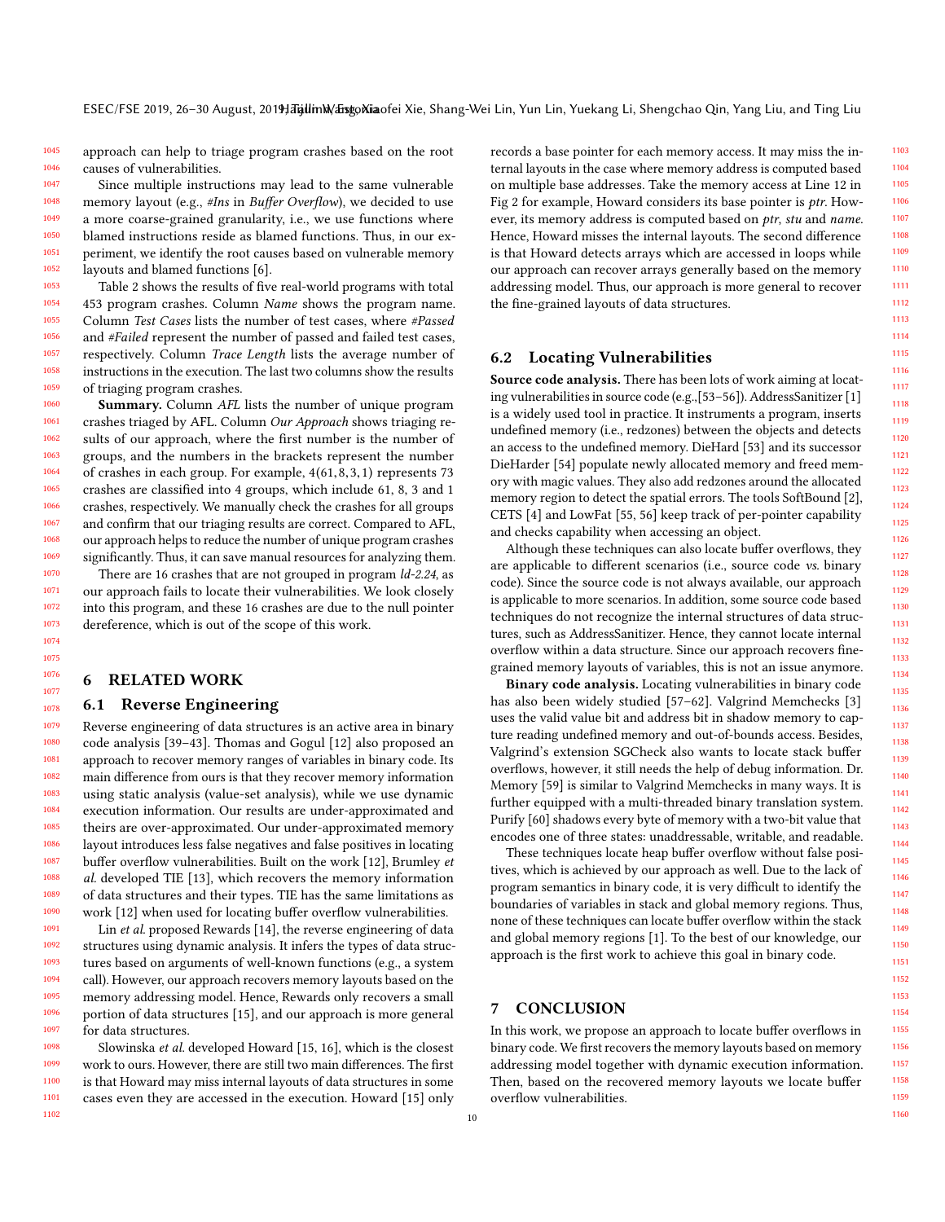1045 1046 approach can help to triage program crashes based on the root causes of vulnerabilities.

1047 1048 1049 1050 1051 1052 Since multiple instructions may lead to the same vulnerable memory layout (e.g., #Ins in Buffer Overflow), we decided to use a more coarse-grained granularity, i.e., we use functions where blamed instructions reside as blamed functions. Thus, in our experiment, we identify the root causes based on vulnerable memory layouts and blamed functions [\[6\]](#page-10-4).

1053 1054 1055 1056 1057 1058 1059 1060 Table [2](#page-8-1) shows the results of five real-world programs with total 453 program crashes. Column Name shows the program name. Column Test Cases lists the number of test cases, where #Passed and #Failed represent the number of passed and failed test cases, respectively. Column Trace Length lists the average number of instructions in the execution. The last two columns show the results of triaging program crashes.

Summary. Column AFL lists the number of unique program crashes triaged by AFL. Column Our Approach shows triaging results of our approach, where the first number is the number of groups, and the numbers in the brackets represent the number of crashes in each group. For example, 4(61,8,3,1) represents 73 crashes are classified into 4 groups, which include 61, 8, 3 and 1 crashes, respectively. We manually check the crashes for all groups and confirm that our triaging results are correct. Compared to AFL, our approach helps to reduce the number of unique program crashes significantly. Thus, it can save manual resources for analyzing them.

There are 16 crashes that are not grouped in program  $ld-2.24$ , as our approach fails to locate their vulnerabilities. We look closely into this program, and these 16 crashes are due to the null pointer dereference, which is out of the scope of this work.

## 6 RELATED WORK

### <span id="page-9-0"></span>6.1 Reverse Engineering

Reverse engineering of data structures is an active area in binary code analysis [\[39–](#page-10-19)[43\]](#page-10-20). Thomas and Gogul [\[12\]](#page-10-7) also proposed an approach to recover memory ranges of variables in binary code. Its main difference from ours is that they recover memory information using static analysis (value-set analysis), while we use dynamic execution information. Our results are under-approximated and theirs are over-approximated. Our under-approximated memory layout introduces less false negatives and false positives in locating buffer overflow vulnerabilities. Built on the work [\[12\]](#page-10-7), Brumley et al. developed TIE [\[13\]](#page-10-21), which recovers the memory information of data structures and their types. TIE has the same limitations as work [\[12\]](#page-10-7) when used for locating buffer overflow vulnerabilities.

Lin et al. proposed Rewards [\[14\]](#page-10-22), the reverse engineering of data structures using dynamic analysis. It infers the types of data structures based on arguments of well-known functions (e.g., a system call). However, our approach recovers memory layouts based on the memory addressing model. Hence, Rewards only recovers a small portion of data structures [\[15\]](#page-10-23), and our approach is more general for data structures.

1098 1099 1100 1101 1102 Slowinska et al. developed Howard [\[15,](#page-10-23) [16\]](#page-10-8), which is the closest work to ours. However, there are still two main differences. The first is that Howard may miss internal layouts of data structures in some cases even they are accessed in the execution. Howard [\[15\]](#page-10-23) only records a base pointer for each memory access. It may miss the internal layouts in the case where memory address is computed based on multiple base addresses. Take the memory access at Line 12 in Fig [2](#page-1-0) for example, Howard considers its base pointer is ptr. However, its memory address is computed based on ptr, stu and name. Hence, Howard misses the internal layouts. The second difference is that Howard detects arrays which are accessed in loops while our approach can recover arrays generally based on the memory addressing model. Thus, our approach is more general to recover the fine-grained layouts of data structures.

## 6.2 Locating Vulnerabilities

Source code analysis. There has been lots of work aiming at locating vulnerabilities in source code (e.g.,[\[53–](#page-10-24)[56\]](#page-11-0)). AddressSanitizer [\[1\]](#page-10-0) is a widely used tool in practice. It instruments a program, inserts undefined memory (i.e., redzones) between the objects and detects an access to the undefined memory. DieHard [\[53\]](#page-10-24) and its successor DieHarder [\[54\]](#page-10-25) populate newly allocated memory and freed memory with magic values. They also add redzones around the allocated memory region to detect the spatial errors. The tools SoftBound [\[2\]](#page-10-26), CETS [\[4\]](#page-10-1) and LowFat [\[55,](#page-11-1) [56\]](#page-11-0) keep track of per-pointer capability and checks capability when accessing an object.

Although these techniques can also locate buffer overflows, they are applicable to different scenarios (i.e., source code vs. binary code). Since the source code is not always available, our approach is applicable to more scenarios. In addition, some source code based techniques do not recognize the internal structures of data structures, such as AddressSanitizer. Hence, they cannot locate internal overflow within a data structure. Since our approach recovers finegrained memory layouts of variables, this is not an issue anymore.

Binary code analysis. Locating vulnerabilities in binary code has also been widely studied [\[57](#page-11-2)[–62\]](#page-11-3). Valgrind Memchecks [\[3\]](#page-10-3) uses the valid value bit and address bit in shadow memory to capture reading undefined memory and out-of-bounds access. Besides, Valgrind's extension SGCheck also wants to locate stack buffer overflows, however, it still needs the help of debug information. Dr. Memory [\[59\]](#page-11-4) is similar to Valgrind Memchecks in many ways. It is further equipped with a multi-threaded binary translation system. Purify [\[60\]](#page-11-5) shadows every byte of memory with a two-bit value that encodes one of three states: unaddressable, writable, and readable.

These techniques locate heap buffer overflow without false positives, which is achieved by our approach as well. Due to the lack of program semantics in binary code, it is very difficult to identify the boundaries of variables in stack and global memory regions. Thus, none of these techniques can locate buffer overflow within the stack and global memory regions [\[1\]](#page-10-0). To the best of our knowledge, our approach is the first work to achieve this goal in binary code.

## 7 CONCLUSION

In this work, we propose an approach to locate buffer overflows in binary code. We first recovers the memory layouts based on memory addressing model together with dynamic execution information. Then, based on the recovered memory layouts we locate buffer overflow vulnerabilities.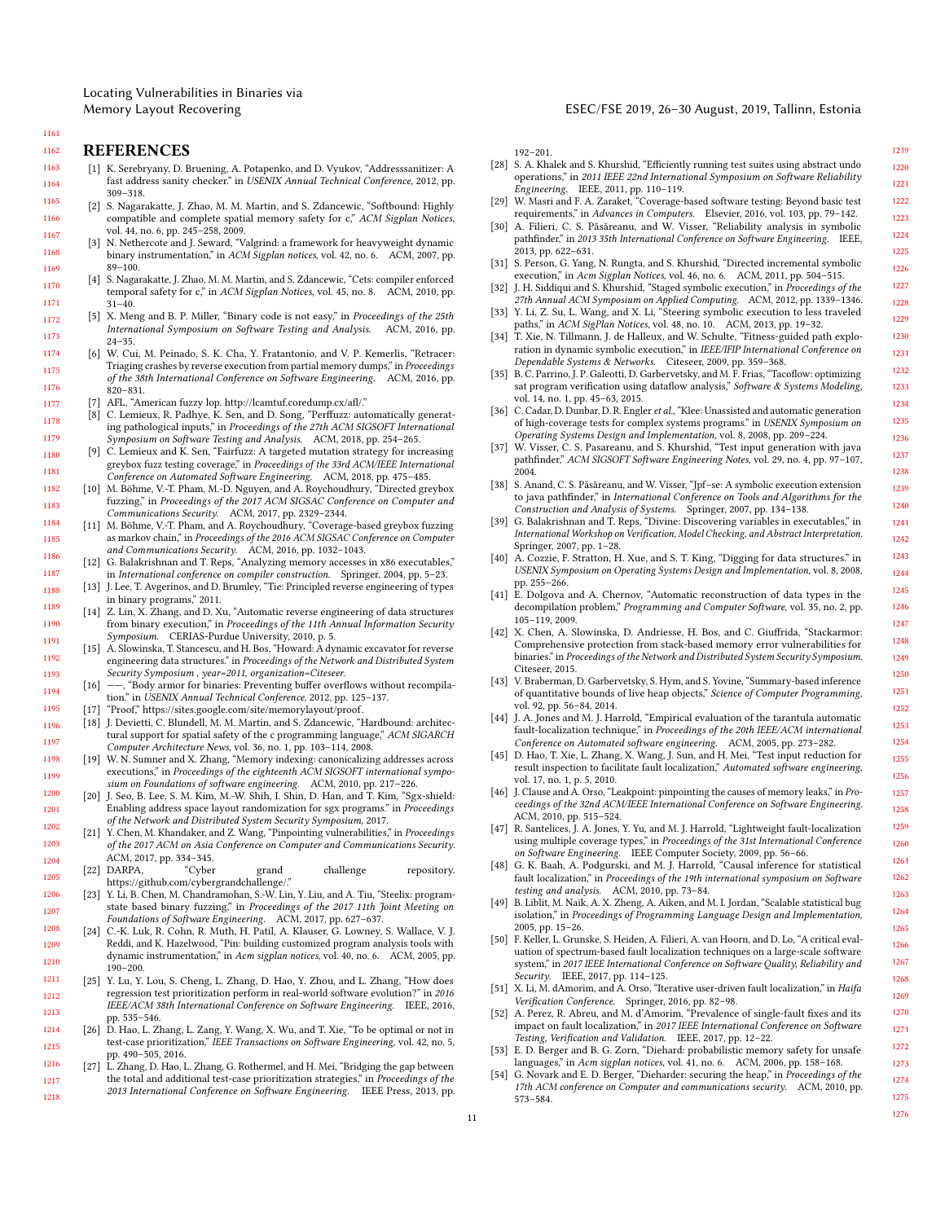Locating Vulnerabilities in Binaries via

#### Memory Layout Recovering ESEC/FSE 2019, 26–30 August, 2019, Tallinn, Estonia

# 1161 1162

<span id="page-10-15"></span><span id="page-10-14"></span>1205 1206 1207

## <span id="page-10-0"></span>**REFERENCES**

- <span id="page-10-26"></span><span id="page-10-3"></span><span id="page-10-1"></span>1163 1164 1165 [1] K. Serebryany, D. Bruening, A. Potapenko, and D. Vyukov, "Addresssanitizer: A fast address sanity checker." in USENIX Annual Technical Conference, 2012, pp. 309–318.
	- [2] S. Nagarakatte, J. Zhao, M. M. Martin, and S. Zdancewic, "Softbound: Highly compatible and complete spatial memory safety for c," ACM Sigplan Notices, vol. 44, no. 6, pp. 245–258, 2009.
	- N. Nethercote and J. Seward, "Valgrind: a framework for heavyweight dynamic binary instrumentation," in ACM Sigplan notices, vol. 42, no. 6. ACM, 2007, pp. 89–100.
	- [4] S. Nagarakatte, J. Zhao, M. M. Martin, and S. Zdancewic, "Cets: compiler enforced temporal safety for c," in ACM Sigplan Notices, vol. 45, no. 8. ACM, 2010, pp. 31–40.
	- [5] X. Meng and B. P. Miller, "Binary code is not easy," in Proceedings of the 25th International Symposium on Software Testing and Analysis. ACM, 2016, pp. 24–35.
	- [6] W. Cui, M. Peinado, S. K. Cha, Y. Fratantonio, and V. P. Kemerlis, "Retracer: Triaging crashes by reverse execution from partial memory dumps," in Proceedings of the 38th International Conference on Software Engineering. ACM, 2016, pp. 820–831.
	- [7] AFL, "American fuzzy lop. http://lcamtuf.coredump.cx/afl/."
	- [8] C. Lemieux, R. Padhye, K. Sen, and D. Song, "Perffuzz: automatically generating pathological inputs," in Proceedings of the 27th ACM SIGSOFT International Symposium on Software Testing and Analysis. ACM, 2018, pp. 254–265.
- <span id="page-10-22"></span><span id="page-10-21"></span><span id="page-10-16"></span><span id="page-10-7"></span><span id="page-10-6"></span><span id="page-10-5"></span><span id="page-10-4"></span><span id="page-10-2"></span>1180 1181 1182 [9] C. Lemieux and K. Sen, "Fairfuzz: A targeted mutation strategy for increasing greybox fuzz testing coverage," in Proceedings of the 33rd ACM/IEEE International Conference on Automated Software Engineering. ACM, 2018, pp. 475–485.
	- [10] M. Böhme, V.-T. Pham, M.-D. Nguyen, and A. Roychoudhury, "Directed greybox fuzzing," in Proceedings of the 2017 ACM SIGSAC Conference on Computer and Communications Security. ACM, 2017, pp. 2329–2344.
	- [11] M. Böhme, V.-T. Pham, and A. Roychoudhury, "Coverage-based greybox fuzzing as markov chain," in Proceedings of the 2016 ACM SIGSAC Conference on Computer
	- and Communications Security. ACM, 2016, pp. 1032–1043. [12] G. Balakrishnan and T. Reps, "Analyzing memory accesses in x86 executables," in International conference on compiler construction. Springer, 2004, pp. 5–23.
	- [13] J. Lee, T. Avgerinos, and D. Brumley, "Tie: Principled reverse engineering of types in binary programs," 2011.
	- [14] Z. Lin, X. Zhang, and D. Xu, "Automatic reverse engineering of data structures from binary execution," in Proceedings of the 11th Annual Information Security Symposium. CERIAS-Purdue University, 2010, p. 5.
	- [15] A. Slowinska, T. Stancescu, and H. Bos, "Howard: A dynamic excavator for reverse engineering data structures." in Proceedings of the Network and Distributed System Security Symposium , year=2011, organization=Citeseer.
	- $[16]$  --, "Body armor for binaries: Preventing buffer overflows without recompilation." in USENIX Annual Technical Conference, 2012, pp. 125–137.
	- $\label{thm:1} \emph{``Proof", https://sites.google.com/site/memory layout/proof.}$
	- [18] J. Devietti, C. Blundell, M. M. Martin, and S. Zdancewic, "Hardbound: architectural support for spatial safety of the c programming language," ACM SIGARCH Computer Architecture News, vol. 36, no. 1, pp. 103–114, 2008.
	- [19] W. N. Sumner and X. Zhang, "Memory indexing: canonicalizing addresses across executions," in Proceedings of the eighteenth ACM SIGSOFT international symposium on Foundations of software engineering. ACM, 2010, pp. 217–226.
	- [20] J. Seo, B. Lee, S. M. Kim, M.-W. Shih, I. Shin, D. Han, and T. Kim, "Sgx-shield: Enabling address space layout randomization for sgx programs." in Proceedings of the Network and Distributed System Security Symposium, 2017.
- <span id="page-10-23"></span><span id="page-10-13"></span><span id="page-10-12"></span><span id="page-10-11"></span><span id="page-10-10"></span><span id="page-10-9"></span><span id="page-10-8"></span>1202 1203 1204 [21] Y. Chen, M. Khandaker, and Z. Wang, "Pinpointing vulnerabilities," in Proceedings of the 2017 ACM on Asia Conference on Computer and Communications Security. ACM, 2017, pp. 334–345.
	- [22] DARPA, "Cyber grand challenge repository. https://github.com/cybergrandchallenge/."
	- [23] Y. Li, B. Chen, M. Chandramohan, S.-W. Lin, Y. Liu, and A. Tiu, "Steelix: programstate based binary fuzzing," in Proceedings of the 2017 11th Joint Meeting on Foundations of Software Engineering. ACM, 2017, pp. 627–637.
- <span id="page-10-17"></span>1208 1209 1210 [24] C.-K. Luk, R. Cohn, R. Muth, H. Patil, A. Klauser, G. Lowney, S. Wallace, V. J. Reddi, and K. Hazelwood, "Pin: building customized program analysis tools with dynamic instrumentation," in Acm sigplan notices, vol. 40, no. 6. ACM, 2005, pp. 190–200.
- <span id="page-10-18"></span>1211 1212 1213 [25] Y. Lu, Y. Lou, S. Cheng, L. Zhang, D. Hao, Y. Zhou, and L. Zhang, "How does regression test prioritization perform in real-world software evolution?" in 2016 IEEE/ACM 38th International Conference on Software Engineering. IEEE, 2016, pp. 535–546.
- 1214 1215 [26] D. Hao, L. Zhang, L. Zang, Y. Wang, X. Wu, and T. Xie, "To be optimal or not in test-case prioritization," IEEE Transactions on Software Engineering, vol. 42, no. 5, pp. 490–505, 2016.
- 1216 1217 1218 L. Zhang, D. Hao, L. Zhang, G. Rothermel, and H. Mei, "Bridging the gap between the total and additional test-case prioritization strategies," in Proceedings of the 2013 International Conference on Software Engineering. IEEE Press, 2013, pp.

192–201.

- [28] S. A. Khalek and S. Khurshid, "Efficiently running test suites using abstract undo operations," in 2011 IEEE 22nd International Symposium on Software Reliability Engineering. IEEE, 2011, pp. 110–119. [29] W. Masri and F. A. Zaraket, "Coverage-based software testing: Beyond basic test
- requirements," in Advances in Computers. Elsevier, 2016, vol. 103, pp. 79–142.
- [30] A. Filieri, C. S. Păsăreanu, and W. Visser, "Reliability analysis in symbolic pathfinder," in 2013 35th International Conference on Software Engineering. IEEE, 2013, pp. 622–631.
- [31] S. Person, G. Yang, N. Rungta, and S. Khurshid, "Directed incremental symbolic execution," in Acm Sigplan Notices, vol. 46, no. 6. ACM, 2011, pp. 504-515.
- [32] J. H. Siddiqui and S. Khurshid, "Staged symbolic execution," in Proceedings of the 27th Annual ACM Symposium on Applied Computing. ACM, 2012, pp. 1339–1346.
- [33] Y. Li, Z. Su, L. Wang, and X. Li, "Steering symbolic execution to less traveled paths," in ACM SigPlan Notices, vol. 48, no. 10. ACM, 2013, pp. 19-32.
- [34] T. Xie, N. Tillmann, J. de Halleux, and W. Schulte, "Fitness-guided path exploration in dynamic symbolic execution," in IEEE/IFIP International Conference on Dependable Systems & Networks. Citeseer, 2009, pp. 359–368.
- [35] B. C. Parrino, J. P. Galeotti, D. Garbervetsky, and M. F. Frias, "Tacoflow: optimizing sat program verification using dataflow analysis," Software & Systems Modeling, vol. 14, no. 1, pp. 45–63, 2015.
- [36] C. Cadar, D. Dunbar, D. R. Engler et al., "Klee: Unassisted and automatic generation of high-coverage tests for complex systems programs." in USENIX Symposium on Operating Systems Design and Implementation, vol. 8, 2008, pp. 209–224.
- [37] W. Visser, C. S. Pasareanu, and S. Khurshid, "Test input generation with java pathfinder," ACM SIGSOFT Software Engineering Notes, vol. 29, no. 4, pp. 97–107,  $2004.$
- [38] S. Anand, C. S. Păsăreanu, and W. Visser, "Jpf–se: A symbolic execution extension to java pathfinder," in International Conference on Tools and Algorithms for the Construction and Analysis of Systems. Springer, 2007, pp. 134–138.
- <span id="page-10-19"></span>[39] G. Balakrishnan and T. Reps, "Divine: Discovering variables in executables," in International Workshop on Verification, Model Checking, and Abstract Interpretation. Springer, 2007, pp. 1–28.
- [40] A. Cozzie, F. Stratton, H. Xue, and S. T. King, "Digging for data structures." in USENIX Symposium on Operating Systems Design and Implementation, vol. 8, 2008, pp. 255–266.
- [41] E. Dolgova and A. Chernov, "Automatic reconstruction of data types in the decompilation problem," Programming and Computer Software, vol. 35, no. 2, pp. 105–119, 2009.
- [42] X. Chen, A. Slowinska, D. Andriesse, H. Bos, and C. Giuffrida, "Stackarmor: Comprehensive protection from stack-based memory error vulnerabilities for binaries." in Proceedings of the Network and Distributed System Security Symposium. Citeseer, 2015.
- <span id="page-10-20"></span>[43] V. Braberman, D. Garbervetsky, S. Hym, and S. Yovine, "Summary-based inference of quantitative bounds of live heap objects," Science of Computer Programming, vol. 92, pp. 56–84, 2014.
- [44] J. A. Jones and M. J. Harrold, "Empirical evaluation of the tarantula automatic fault-localization technique," in Proceedings of the 20th IEEE/ACM international Conference on Automated software engineering. ACM, 2005, pp. 273–282.
- [45] D. Hao, T. Xie, L. Zhang, X. Wang, J. Sun, and H. Mei, "Test input reduction for result inspection to facilitate fault localization," Automated software engineering, vol. 17, no. 1, p. 5, 2010.
- [46] J. Clause and A. Orso, "Leakpoint: pinpointing the causes of memory leaks," in Proceedings of the 32nd ACM/IEEE International Conference on Software Engineering. ACM, 2010, pp. 515–524.
- [47] R. Santelices, J. A. Jones, Y. Yu, and M. J. Harrold, "Lightweight fault-localization using multiple coverage types," in Proceedings of the 31st International Conference on Software Engineering. IEEE Computer Society, 2009, pp. 56–66.
- [48] G. K. Baah, A. Podgurski, and M. J. Harrold, "Causal inference for statistical fault localization," in Proceedings of the 19th international symposium on Software testing and analysis. ACM, 2010, pp. 73–84.
- [49] B. Liblit, M. Naik, A. X. Zheng, A. Aiken, and M. I. Jordan, "Scalable statistical bug isolation," in Proceedings of Programming Language Design and Implementation, 2005, pp. 15–26.
- [50] F. Keller, L. Grunske, S. Heiden, A. Filieri, A. van Hoorn, and D. Lo, "A critical evaluation of spectrum-based fault localization techniques on a large-scale software system," in 2017 IEEE International Conference on Software Quality, Reliability and Security. IEEE, 2017, pp. 114-125.
- [51] X. Li, M. dAmorim, and A. Orso, "Iterative user-driven fault localization," in Haifa Verification Conference. Springer, 2016, pp. 82–98.
- [52] A. Perez, R. Abreu, and M. d'Amorim, "Prevalence of single-fault fixes and its impact on fault localization," in 2017 IEEE International Conference on Software Testing, Verification and Validation. IEEE, 2017, pp. 12–22.
- <span id="page-10-24"></span>[53] E. D. Berger and B. G. Zorn, "Diehard: probabilistic memory safety for unsafe languages," in Acm sigplan notices, vol. 41, no. 6. ACM, 2006, pp. 158–168.
- <span id="page-10-25"></span>G. Novark and E. D. Berger, "Dieharder: securing the heap," in Proceedings of the 17th ACM conference on Computer and communications security. ACM, 2010, pp. 573–584.